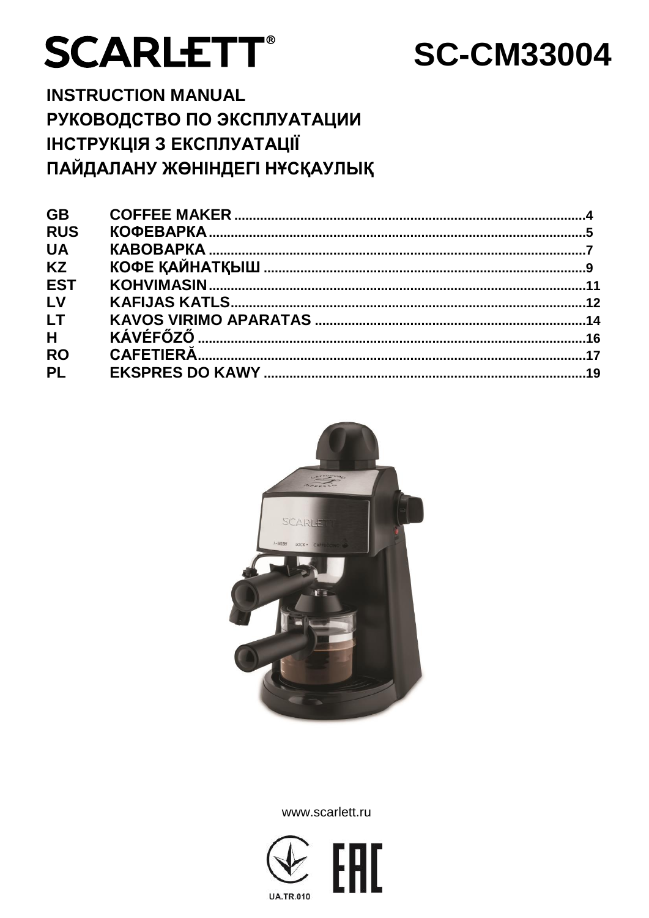# **SCARLETT®**

# **SC-CM33004**

**INSTRUCTION MANUAL** РУКОВОДСТВО ПО ЭКСПЛУАТАЦИИ ІНСТРУКЦІЯ З ЕКСПЛУАТАЦІЇ ПАЙДАЛАНУ ЖӨНІНДЕГІ НҰСҚАУЛЫҚ

| <b>GB</b>  |  |
|------------|--|
| <b>RUS</b> |  |
| <b>UA</b>  |  |
| <b>KZ</b>  |  |
| <b>EST</b> |  |
| LV         |  |
| <b>LT</b>  |  |
| H          |  |
| <b>RO</b>  |  |
| <b>PL</b>  |  |
|            |  |



www.scarlett.ru

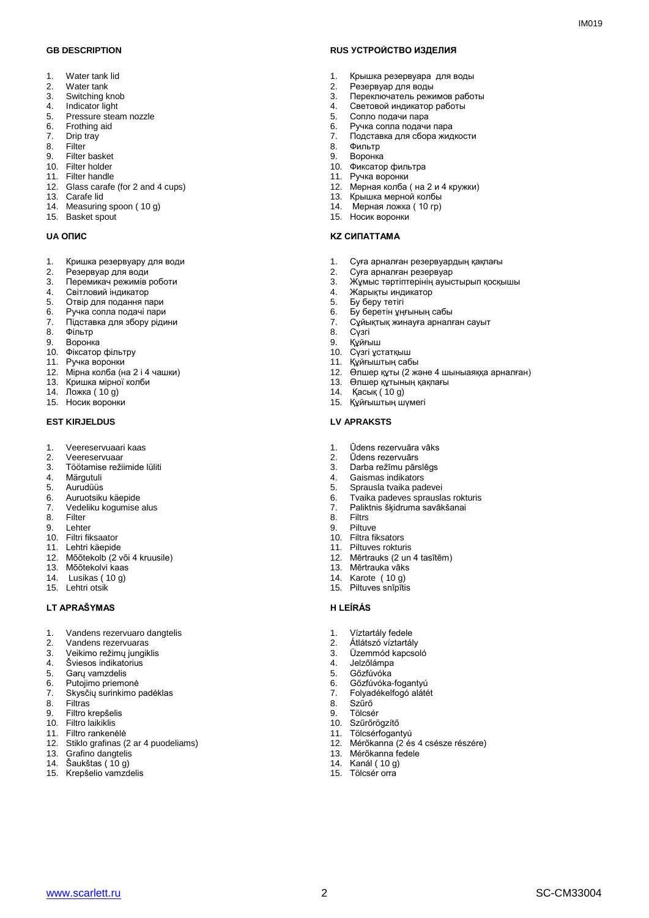- 1. Water tank lid<br>2. Water tank
- Water tank
- 3. Switching knob
- 4. Indicator light<br>5. Pressure stea
- 5. Pressure steam nozzle<br>6. Frothing aid
- 6. Frothing aid<br>7. Drip tray Drip tray
- 
- 8. Filter<br>9. Filter
- 9. Filter basket<br>10. Filter holder Filter holder
- 11. Filter handle
- 12. Glass carafe (for 2 and 4 cups)
- 13. Carafe lid
- 14. Measuring spoon ( 10 g)
- 15. Basket spout

- 1. Кришка резервуару для води<br>2. Резервуар для води
- 2. Резервуар для води
- Перемикач режимів роботи
- 4. Світловий індикатор<br>5. Отвір для подання па
- 5. Отвір для подання пари
- 6. Ручка сопла подачі пари<br>7. Підставка для збору ріди
- 7. Підставка для збору рідини
- 8. Фільтр
- Воронка
- 10. Фіксатор фільтру
- 11. Ручка воронки
- 12. Мірна колба (на 2 і 4 чашки)
- 13. Кришка мірної колби
- 14. Ложка ( 10 g)
- 15. Носик воронки

### **EST KIRJELDUS LV APRAKSTS**

- 1. Veereservuaari kaas<br>2. Veereservuaar
- 2. Veereservuaar
- 3. Töötamise režiimide lüliti
- 4. Märgutuli<br>5. Aurudüüs
- 5. Aurudüüs<br>6. Auruotsiku
- 6. Auruotsiku käepide<br>7. Vedeliku kogumise
- 7. Vedeliku kogumise alus<br>8. Filter
- 8. Filter<br>9 Lehte
- Lehter
- 10. Filtri fiksaator
- 11. Lehtri käepide
- 12. Mõõtekolb (2 või 4 kruusile)
- 13. Mõõtekolvi kaas
- 14. Lusikas ( 10 g)
- 15. Lehtri otsik

### **LT APRAŠYMAS H LEÍRÁS**

- 1. Vandens rezervuaro dangtelis<br>2. Vandens rezervuaras
- 2. Vandens rezervuaras<br>3. Veikimo režimu iungik
- Veikimo režimų jungiklis
- 4. Šviesos indikatorius<br>5. Garų vamzdelis
- 5. Garų vamzdelis
- 6. Putojimo priemonė
- 7. Skysčių surinkimo padėklas
- 8. Filtras<br>9. Filtro
- 9. Filtro krepšelis
- 10. Filtro laikiklis
- 11. Filtro rankenėlė
- 12. Stiklo grafinas (2 ar 4 puodeliams)<br>13. Grafino dangtelis
- 13. Grafino dangtelis<br>14. Šaukštas (10 g)
- Šaukštas (10 g)
- 15. Krepšelio vamzdelis

### **GB DESCRIPTION RUS УСТРОЙСТВО ИЗДЕЛИЯ**

- 1. Крышка резервуара для воды<br>2. Резервуар для воды
- 2. Резервуар для воды
- 3. Переключатель режимов работы

 $IMA01Q$ 

- 4. Световой индикатор работы
- 5. Сопло подачи пара<br>6. Ручка сопла подачи
- 6. Ручка сопла подачи пара
- 7. Подставка для сбора жидкости
- 8. Фильтр<br>9 Воронка
- 9. Воронка
- 10. Фиксатор фильтра 11. Ручка воронки
- 12. Мерная колба ( на 2 и 4 кружки)
- 13. Крышка мерной колбы
- 14. Мерная ложка ( 10 гр)
- 15. Носик воронки

### **UA ОПИС KZ СИПАТТАМА**

- 1. Суға арналған резервуардың қақпағы<br>2. Суға арналған резервуар
- 2. Суға арналған резервуар
- 3. Жұмыс тәртіптерінің ауыстырып қосқышы
- 4. Жарықты индикатор<br>5. Бу беру тетігі
- 5. Бу беру тетігі<br>6. Бу беретін ұң
- 6. Бу беретін ұңғының сабы
- 7. Сұйықтық жинауға арналған сауыт
- 8. Сүзгі
- Құйғыш
- 10. Сүзгі ұстатқыш
- 11. Құйғыштың сабы
- 12. Өлшер құты (2 және 4 шыныаяққа арналған)
- 13. Өлшер құтының қақпағы
- 14. Қасық ( 10 g)
- 15. Құйғыштың шүмегі

**Filtrs** 9. Piltuve 10. Filtra fiksators 11. Piltuves rokturis

13. Mērtrauka vāks 14. Karote ( 10 g) 15. Piltuves snīpītis

1. Víztartály fedele 2. Átlátszó víztartály 3. Üzemmód kapcsoló

13. Mérőkanna fedele 14. Kanál ( 10 g) 15. Tölcsér orra

4. Jelzőlámpa<br>5. Gőzfúvóka 5. Gőzfúvóka 6. Gőzfúvóka-fogantyú 7. Folyadékelfogó alátét

8. Szűrő<br>9 Tölcsé **Tölcsér** 10. Szűrőrögzítő 11. Tölcsérfogantyú

www.scarlett.ru SC-CM33004

- 1. Ūdens rezervuāra vāks<br>2. Ūdens rezervuārs
- 2. Ūdens rezervuārs
- 3. Darba režīmu pārslēgs
- 4. Gaismas indikators<br>5. Sprausla tyaika pad
- 5. Sprausla tvaika padevei<br>6. Tvaika padeves sprausla 6. Tvaika padeves sprauslas rokturis<br>7. Paliktnis šķidruma savākšanai

12. Mērtrauks (2 un 4 tasītēm)

12. Mérőkanna (2 és 4 csésze részére)

7. Paliktnis šķidruma savākšanai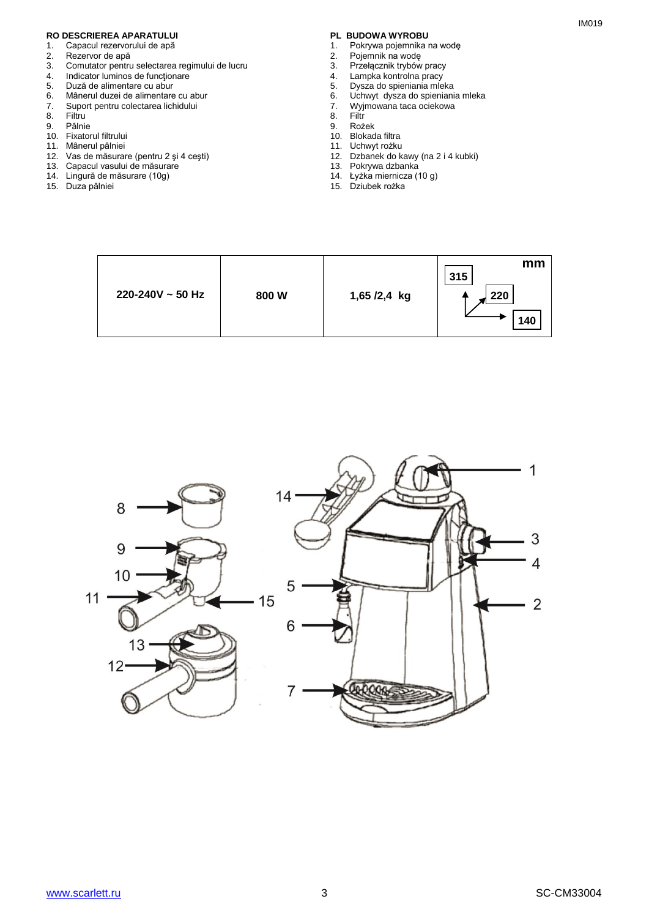# **RO DESCRIEREA APARATULUI PL BUDOWA WYROBU**<br>1. Capacul rezervorului de apă **partide apă de presentatului de apă** de 1. Pokrywa pojemnika r

- 1. Capacul rezervorului de apă<br>2. Rezervor de apă
- 2. Rezervor de apă<br>3. Comutator pentru
- 3. Comutator pentru selectarea regimului de lucru<br>4. Indicator luminos de funcționare
- 4. Indicator luminos de funcționare<br>5. Duză de alimentare cu abur
- 5. Duză de alimentare cu abur
- 6. Mânerul duzei de alimentare cu abur<br>7. Suport pentru colectarea lichidului
- 7. Suport pentru colectarea lichidului
- 8. Filtru<br>9. Pâlnie
- 9. Pâlnie
- 10. Fixatorul filtrului 11. Mânerul pâlniei
- 12. Vas de măsurare (pentru 2 şi 4 ceşti)
- 13. Capacul vasului de măsurare
- 14. Lingură de măsurare (10g)
- 15. Duza pâlniei

- 1. Pokrywa pojemnika na wodę<br>2. Pojemnik na wode
- 2. Pojemnik na wodę
- 3. Przełącznik trybów pracy
- 4. Lampka kontrolna pracy
- 5. Dysza do spieniania mleka
- 6. Uchwyt dysza do spieniania mleka
- 7. Wyjmowana taca ociekowa
- 8. Filtr<br>9. Roż 9. Rożek
- 10. Blokada filtra
- 11. Uchwyt rożku
- 12. Dzbanek do kawy (na 2 i 4 kubki)
- 13. Pokrywa dzbanka
- 14. Łyżka miernicza (10 g)
- 15. Dziubek rożka



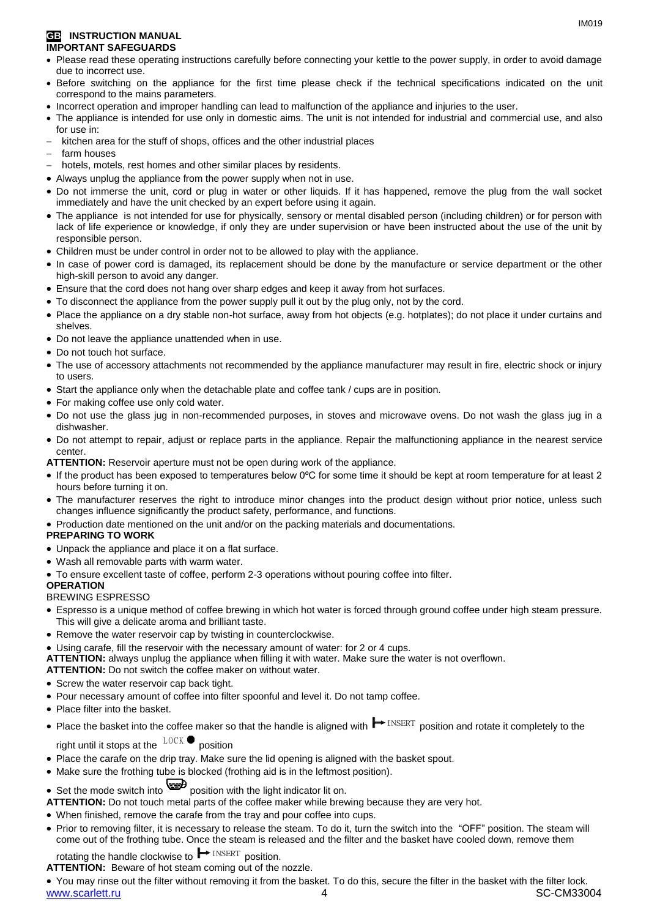### **GB INSTRUCTION MANUAL IMPORTANT SAFEGUARDS**

- Please read these operating instructions carefully before connecting your kettle to the power supply, in order to avoid damage due to incorrect use.
- Before switching on the appliance for the first time please check if the technical specifications indicated on the unit correspond to the mains parameters.
- Incorrect operation and improper handling can lead to malfunction of the appliance and injuries to the user.
- The appliance is intended for use only in domestic aims. The unit is not intended for industrial and commercial use, and also for use in:
- kitchen area for the stuff of shops, offices and the other industrial places
- farm houses
- hotels, motels, rest homes and other similar places by residents.
- Always unplug the appliance from the power supply when not in use.
- Do not immerse the unit, cord or plug in water or other liquids. If it has happened, remove the plug from the wall socket immediately and have the unit checked by an expert before using it again.
- The appliance is not intended for use for [physically, sensory or mental disabled](https://www.multitran.ru/c/m.exe?t=5841801_1_2&s1=%F7%E5%EB%EE%E2%E5%EA%20%F1%20%EE%E3%F0%E0%ED%E8%F7%E5%ED%ED%FB%EC%E8%20%E2%EE%E7%EC%EE%E6%ED%EE%F1%F2%FF%EC%E8) person (including children) or for person with lack of life experience or knowledge, if only they are under supervision or have been instructed about the use of the unit by responsible person.
- Children must be under control in order not to be allowed to play with the appliance.
- In case of power cord is damaged, its replacement should be done by the manufacture or service department or the other high-skill person to avoid any danger.
- Ensure that the cord does not hang over sharp edges and keep it away from hot surfaces.
- To disconnect the appliance from the power supply pull it out by the plug only, not by the cord.
- Place the appliance on a dry stable non-hot surface, away from hot objects (e.g. hotplates); do not place it under curtains and shelves.
- Do not leave the appliance unattended when in use.
- Do not touch hot surface.
- The use of accessory attachments not recommended by the appliance manufacturer may result in fire, electric shock or injury to users.
- Start the appliance only when the detachable plate and coffee tank / cups are in position.
- For making coffee use only cold water.
- Do not use the glass jug in non-recommended purposes, in stoves and microwave ovens. Do not wash the glass jug in a dishwasher.
- Do not attempt to repair, adjust or replace parts in the appliance. Repair the malfunctioning appliance in the nearest service center.

**ATTENTION:** Reservoir aperture must not be open during work of the appliance.

- If the product has been exposed to temperatures below 0ºC for some time it should be kept at room temperature for at least 2 hours before turning it on.
- The manufacturer reserves the right to introduce minor changes into the product design without prior notice, unless such changes influence significantly the product safety, performance, and functions.
- Production date mentioned on the unit and/or on the packing materials and documentations.

### **PREPARING TO WORK**

- Unpack the appliance and place it on a flat surface.
- Wash all removable parts with warm water.
- To ensure excellent taste of coffee, perform 2-3 operations without pouring coffee into filter.

### **OPERATION**

### BREWING ESPRESSO

- Espresso is a unique method of coffee brewing in which hot water is forced through ground coffee under high steam pressure. This will give a delicate aroma and brilliant taste.
- Remove the water reservoir cap by twisting in counterclockwise.
- Using carafe, fill the reservoir with the necessary amount of water: for 2 or 4 cups.
- **ATTENTION:** always unplug the appliance when filling it with water. Make sure the water is not overflown.
- **ATTENTION:** Do not switch the coffee maker on without water.
- Screw the water reservoir cap back tight.
- Pour necessary amount of coffee into filter spoonful and level it. Do not tamp coffee.
- Place filter into the basket.
- Place the basket into the coffee maker so that the handle is aligned with  $\blacktriangleright$  INSERT position and rotate it completely to the right until it stops at the  $\frac{LOCK}{P}$  position right until it stops at the  $\frac{100 \text{ A}}{200 \text{ A}}$  position
- Place the carafe on the drip tray. Make sure the lid opening is aligned with the basket spout.
- Make sure the frothing tube is blocked (frothing aid is in the leftmost position).
- Set the mode switch into position with the light indicator lit on.
- **ATTENTION:** Do not touch metal parts of the coffee maker while brewing because they are very hot.
- When finished, remove the carafe from the tray and pour coffee into cups.
- Prior to removing filter, it is necessary to release the steam. To do it, turn the switch into the "OFF" position. The steam will come out of the frothing tube. Once the steam is released and the filter and the basket have cooled down, remove them

rotating the handle clockwise to  $\blacksquare$   $\blacksquare$  position. INSERT position

**ATTENTION:** Beware of hot steam coming out of the nozzle.

www.scarlett.ru 4 SC-CM33004 You may rinse out the filter without removing it from the basket. To do this, secure the filter in the basket with the filter lock.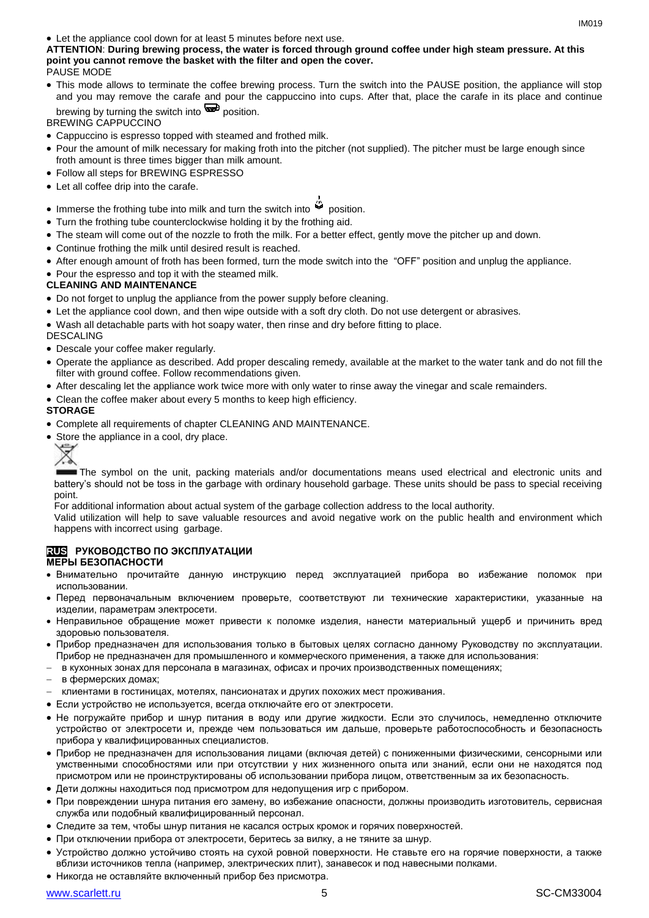**ATTENTION**: **During brewing process, the water is forced through ground coffee under high steam pressure. At this point you cannot remove the basket with the filter and open the cover.** PAUSE MODE

 This mode allows to terminate the coffee brewing process. Turn the switch into the PAUSE position, the appliance will stop and you may remove the carafe and pour the cappuccino into cups. After that, place the carafe in its place and continue brewing by turning the switch into  $\mathbf{P}$  position.

BREWING CAPPUCCINO

- Cappuccino is espresso topped with steamed and frothed milk.
- Pour the amount of milk necessary for making froth into the pitcher (not supplied). The pitcher must be large enough since froth amount is three times bigger than milk amount.
- Follow all steps for BREWING ESPRESSO
- Let all coffee drip into the carafe.
- Immerse the frothing tube into milk and turn the switch into  $\ddot{\mathbf{w}}$  position.
- Turn the frothing tube counterclockwise holding it by the frothing aid.
- The steam will come out of the nozzle to froth the milk. For a better effect, gently move the pitcher up and down.
- Continue frothing the milk until desired result is reached.
- After enough amount of froth has been formed, turn the mode switch into the "OFF" position and unplug the appliance.
- Pour the espresso and top it with the steamed milk.

### **CLEANING AND MAINTENANCE**

- Do not forget to unplug the appliance from the power supply before cleaning.
- Let the appliance cool down, and then wipe outside with a soft dry cloth. Do not use detergent or abrasives.

Wash all detachable parts with hot soapy water, then rinse and dry before fitting to place.

DESCALING

- Descale your coffee maker regularly.
- Operate the appliance as described. Add proper descaling remedy, available at the market to the water tank and do not fill the filter with ground coffee. Follow recommendations given.
- After descaling let the appliance work twice more with only water to rinse away the vinegar and scale remainders.
- Clean the coffee maker about every 5 months to keep high efficiency.

### **STORAGE**

- Complete all requirements of chapter CLEANING AND MAINTENANCE.
- Store the appliance in a cool, dry place.
	- ₩

The symbol on the unit, packing materials and/or documentations means used electrical and electronic units and battery's should not be toss in the garbage with ordinary household garbage. These units should be pass to special receiving point.

For additional information about actual system of the garbage collection address to the local authority.

Valid utilization will help to save valuable resources and avoid negative work on the public health and environment which happens with incorrect using garbage.

### **RUS РУКОВОДСТВО ПО ЭКСПЛУАТАЦИИ МЕРЫ БЕЗОПАСНОСТИ**

- Внимательно прочитайте данную инструкцию перед эксплуатацией прибора во избежание поломок при использовании.
- Перед первоначальным включением проверьте, соответствуют ли технические характеристики, указанные на изделии, параметрам электросети.
- Неправильное обращение может привести к поломке изделия, нанести материальный ущерб и причинить вред здоровью пользователя.
- Прибор предназначен для использования только в бытовых целях согласно данному Руководству по эксплуатации. Прибор не предназначен для промышленного и коммерческого применения, а также для использования:
- в кухонных зонах для персонала в магазинах, офисах и прочих производственных помещениях;
- в фермерских домах;
- клиентами в гостиницах, мотелях, пансионатах и других похожих мест проживания.
- Если устройство не используется, всегда отключайте его от электросети.
- Не погружайте прибор и шнур питания в воду или другие жидкости. Если это случилось, немедленно отключите устройство от электросети и, прежде чем пользоваться им дальше, проверьте работоспособность и безопасность прибора у квалифицированных специалистов.
- Прибор не предназначен для использования лицами (включая детей) с пониженными физическими, сенсорными или умственными способностями или при отсутствии у них жизненного опыта или знаний, если они не находятся под присмотром или не проинструктированы об использовании прибора лицом, ответственным за их безопасность.
- Дети должны находиться под присмотром для недопущения игр с прибором.
- При повреждении шнура питания его замену, во избежание опасности, должны производить изготовитель, сервисная служба или подобный квалифицированный персонал.
- Следите за тем, чтобы шнур питания не касался острых кромок и горячих поверхностей.
- При отключении прибора от электросети, беритесь за вилку, а не тяните за шнур.
- Устройство должно устойчиво стоять на сухой ровной поверхности. Не ставьте его на горячие поверхности, а также вблизи источников тепла (например, электрических плит), занавесок и под навесными полками.
- Никогда не оставляйте включенный прибор без присмотра.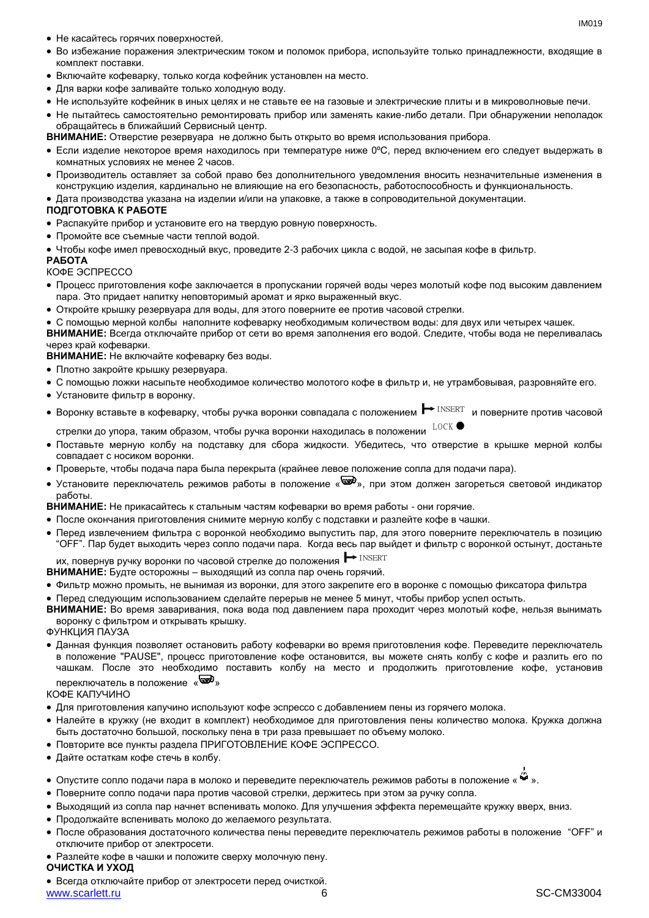- Не касайтесь горячих поверхностей.
- Во избежание поражения электрическим током и поломок прибора, используйте только принадлежности, входящие в комплект поставки.
- Включайте кофеварку, только когда кофейник установлен на место.
- Для варки кофе заливайте только холодную воду.
- Не используйте кофейник в иных целях и не ставьте ее на газовые и электрические плиты и в микроволновые печи.
- Не пытайтесь самостоятельно ремонтировать прибор или заменять какие-либо детали. При обнаружении неполадок обращайтесь в ближайший Сервисный центр.

**ВНИМАНИЕ:** Отверстие резервуара не должно быть открыто во время использования прибора.

- Если изделие некоторое время находилось при температуре ниже 0ºC, перед включением его следует выдержать в комнатных условиях не менее 2 часов.
- Производитель оставляет за собой право без дополнительного уведомления вносить незначительные изменения в конструкцию изделия, кардинально не влияющие на его безопасность, работоспособность и функциональность.
- Дата производства указана на изделии и/или на упаковке, а также в сопроводительной документации.

### **ПОДГОТОВКА К РАБОТЕ**

- Распакуйте прибор и установите его на твердую ровную поверхность.
- Промойте все съемные части теплой водой.
- Чтобы кофе имел превосходный вкус, проведите 2-3 рабочих цикла с водой, не засыпая кофе в фильтр.

### **РАБОТА**

КОФЕ ЭСПРЕССО

- Процесс приготовления кофе заключается в пропускании горячей воды через молотый кофе под высоким давлением пара. Это придает напитку неповторимый аромат и ярко выраженный вкус.
- Откройте крышку резервуара для воды, для этого поверните ее против часовой стрелки.

 С помощью мерной колбы наполните кофеварку необходимым количеством воды: для двух или четырех чашек. **ВНИМАНИЕ:** Всегда отключайте прибор от сети во время заполнения его водой. Следите, чтобы вода не переливалась через край кофеварки.

**ВНИМАНИЕ:** Не включайте кофеварку без воды.

- Плотно закройте крышку резервуара.
- С помощью ложки насыпьте необходимое количество молотого кофе в фильтр и, не утрамбовывая, разровняйте его.
- Установите фильтр в воронку.
- Воронку вставьте в кофеварку, чтобы ручка воронки совпадала с положением ━ <sup>т∆SERT</sup> и поверните против часовой<br>стрелки до упора, таким образом, чтобы ручка воронки находилась в положении

стрелки до упора, таким образом, чтобы ручка воронки находилась в положении  $^{^{\mathrm{LOCK}}}$ 

- Поставьте мерную колбу на подставку для сбора жидкости. Убедитесь, что отверстие в крышке мерной колбы совпадает с носиком воронки.
- Проверьте, чтобы подача пара была перекрыта (крайнее левое положение сопла для подачи пара).
- Установите переключатель режимов работы в положение « », при этом должен загореться световой индикатор работы.

**ВНИМАНИЕ:** Не прикасайтесь к стальным частям кофеварки во время работы - они горячие.

- После окончания приготовления снимите мерную колбу с подставки и разлейте кофе в чашки.
- Перед извлечением фильтра с воронкой необходимо выпустить пар, для этого поверните переключатель в позицию "OFF". Пар будет выходить через сопло подачи пара. Когда весь пар выйдет и фильтр с воронкой остынут, достаньте INSERT

их, повернув ручку воронки по часовой стрелке до положения → INSERT

- **ВНИМАНИЕ:** Будте осторожны выходящий из сопла пар очень горячий.
- Фильтр можно промыть, не вынимая из воронки, для этого закрепите его в воронке с помощью фиксатора фильтра
- Перед следующим использованием сделайте перерыв не менее 5 минут, чтобы прибор успел остыть.
- **ВНИМАНИЕ:** Во время заваривания, пока вода под давлением пара проходит через молотый кофе, нельзя вынимать воронку с фильтром и открывать крышку.

ФУНКЦИЯ ПАУЗА

 Данная функция позволяет остановить работу кофеварки во время приготовления кофе. Переведите переключатель в положение "PAUSE", процесс приготовление кофе остановится, вы можете снять колбу с кофе и разлить его по чашкам. После это необходимо поставить колбу на место и продолжить приготовление кофе, установив переключатель в положение « »

КОФЕ КАПУЧИНО

- Для приготовления капучино используют кофе эспрессо с добавлением пены из горячего молока.
- Налейте в кружку (не входит в комплект) необходимое для приготовления пены количество молока. Кружка должна быть достаточно большой, поскольку пена в три раза превышает по объему молоко.
- Повторите все пункты раздела ПРИГОТОВЛЕНИЕ КОФЕ ЭСПРЕССО.
- Дайте остаткам кофе стечь в колбу.
- Опустите сопло подачи пара в молоко и переведите переключатель режимов работы в положение « ».
- Поверните сопло подачи пара против часовой стрелки, держитесь при этом за ручку сопла.
- Выходящий из сопла пар начнет вспенивать молоко. Для улучшения эффекта перемещайте кружку вверх, вниз.
- Продолжайте вспенивать молоко до желаемого результата.
- После образования достаточного количества пены переведите переключатель режимов работы в положение "OFF" и отключите прибор от электросети.
- Разлейте кофе в чашки и положите сверху молочную пену.

### **ОЧИСТКА И УХОД**

www.scarlett.ru 6 SC-CM33004 Всегда отключайте прибор от электросети перед очисткой.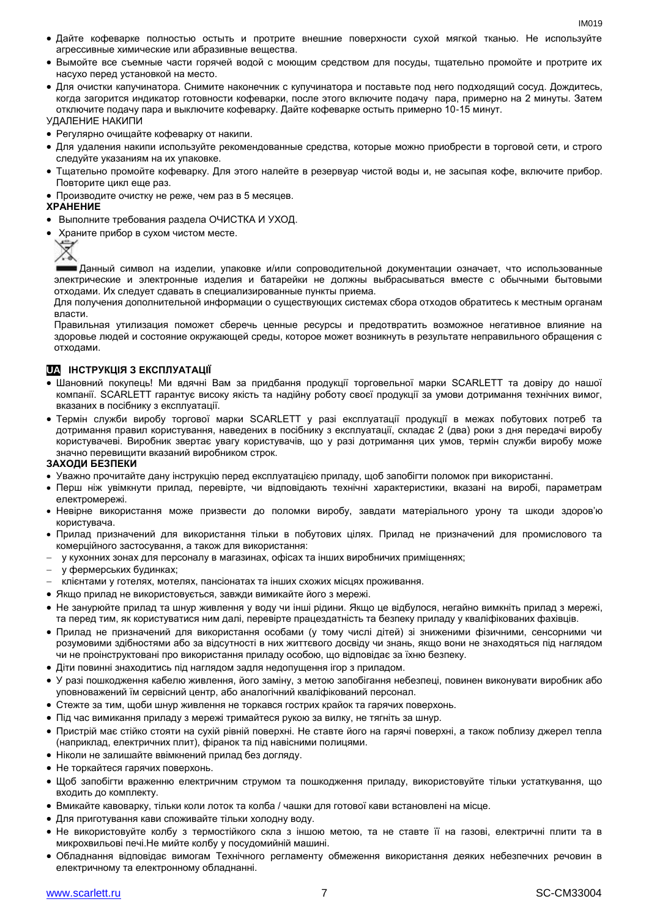- Дайте кофеварке полностью остыть и протрите внешние поверхности сухой мягкой тканью. Не используйте агрессивные химические или абразивные вещества.
- Вымойте все съемные части горячей водой с моющим средством для посуды, тщательно промойте и протрите их насухо перед установкой на место.
- Для очистки капучинатора. Снимите наконечник с купучинатора и поставьте под него подходящий сосуд. Дождитесь, когда загорится индикатор готовности кофеварки, после этого включите подачу пара, примерно на 2 минуты. Затем отключите подачу пара и выключите кофеварку. Дайте кофеварке остыть примерно 10-15 минут.

УДАЛЕНИЕ НАКИПИ

- Регулярно очищайте кофеварку от накипи.
- Для удаления накипи используйте рекомендованные средства, которые можно приобрести в торговой сети, и строго следуйте указаниям на их упаковке.
- Тщательно промойте кофеварку. Для этого налейте в резервуар чистой воды и, не засыпая кофе, включите прибор. Повторите цикл еще раз.
- Производите очистку не реже, чем раз в 5 месяцев.

### **ХРАНЕНИЕ**

- Выполните требования раздела ОЧИСТКА И УХОД.
- Храните прибор в сухом чистом месте.



Данный символ на изделии, упаковке и/или сопроводительной документации означает, что использованные электрические и электронные изделия и батарейки не должны выбрасываться вместе с обычными бытовыми отходами. Их следует сдавать в специализированные пункты приема.

Для получения дополнительной информации о существующих системах сбора отходов обратитесь к местным органам власти.

Правильная утилизация поможет сберечь ценные ресурсы и предотвратить возможное негативное влияние на здоровье людей и состояние окружающей среды, которое может возникнуть в результате неправильного обращения с отходами.

### **UA ІНСТРУКЦІЯ З ЕКСПЛУАТАЦІЇ**

- Шановний покупець! Ми вдячні Вам за придбання продукції торговельної марки SCARLETT та довіру до нашої компанії. SCARLETT гарантує високу якість та надійну роботу своєї продукції за умови дотримання технічних вимог, вказаних в посібнику з експлуатації.
- Термін служби виробу торгової марки SCARLETT у разі експлуатації продукції в межах побутових потреб та дотримання правил користування, наведених в посібнику з експлуатації, складає 2 (два) роки з дня передачі виробу користувачеві. Виробник звертає увагу користувачів, що у разі дотримання цих умов, термін служби виробу може значно перевищити вказаний виробником строк.

### **ЗАХОДИ БЕЗПЕКИ**

- Уважно прочитайте дану інструкцію перед експлуатацією приладу, щоб запобігти поломок при використанні.
- Перш ніж увімкнути прилад, перевірте, чи відповідають технічні характеристики, вказані на виробі, параметрам електромережі.
- Невiрне використання може призвести до поломки виробу, завдати матеріального урону та шкоди здоров'ю користувача.
- Прилад призначений для використання тільки в побутових цілях. Прилад не призначений для промислового та комерційного застосування, а також для використання:
- у кухонних зонах для персоналу в магазинах, офісах та інших виробничих приміщеннях;
- у фермерських будинках;
- клієнтами у готелях, мотелях, пансіонатах та інших схожих місцях проживання.
- Якщо прилад не використовується, завжди вимикайте його з мережі.
- Не занурюйте прилад та шнур живлення у воду чи інші рідини. Якщо це відбулося, негайно вимкніть прилад з мережі, та перед тим, як користуватися ним далі, перевірте працездатність та безпеку приладу у кваліфікованих фахівців.
- Прилад не призначений для використання особами (у тому числі дітей) зі зниженими фізичними, сенсорними чи розумовими здібностями або за відсутності в них життєвого досвіду чи знань, якщо вони не знаходяться під наглядом чи не проінструктовані про використання приладу особою, що відповідає за їхню безпеку.
- Діти повинні знаходитись під наглядом задля недопущення ігор з приладом.
- У разі пошкодження кабелю живлення, його заміну, з метою запобігання небезпеці, повинен виконувати виробник або уповноважений їм сервісний центр, або аналогічний кваліфікований персонал.
- Стежте за тим, щоби шнур живлення не торкався гострих крайок та гарячих поверхонь.
- Під час вимикання приладу з мережі тримайтеся рукою за вилку, не тягніть за шнур.
- Пристрій має стійко стояти на сухій рівній поверхні. Не ставте його на гарячі поверхні, а також поблизу джерел тепла (наприклад, електричних плит), фіранок та під навісними полицями.
- Ніколи не залишайте ввімкнений прилад без догляду.
- Не торкайтеся гарячих поверхонь.
- Щоб запобігти враженню електричним струмом та пошкодження приладу, використовуйте тільки устаткування, що входить до комплекту.
- Вмикайте кавоварку, тільки коли лоток та колба / чашки для готової кави встановлені на місце.
- Для приготування кави споживайте тільки холодну воду.
- Не використовуйте колбу з термостійкого скла з іншою метою, та не ставте її на газові, електричні плити та в микрохвильові печі.Не мийте колбу у посудомийній машині.
- Обладнання відповідає вимогам Технічного регламенту обмеження використання деяких небезпечних речовин в електричному та електронному обладнанні.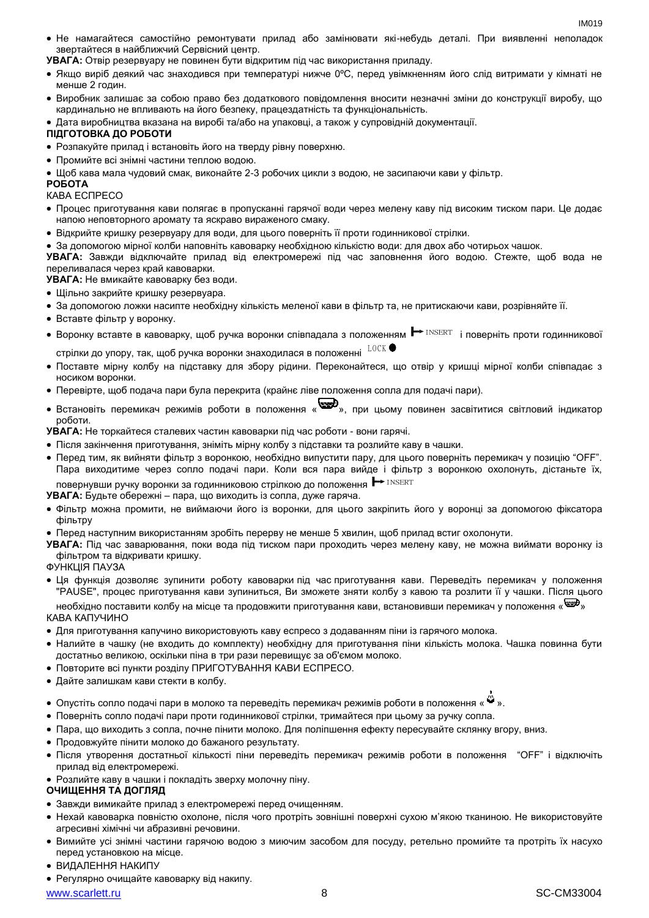Не намагайтеся самостійно ремонтувати прилад або замінювати які-небудь деталі. При виявленні неполадок звертайтеся в найближчий Сервісний центр.

**УВАГА:** Отвір резервуару не повинен бути відкритим під час використання приладу.

- Якщо виріб деякий час знаходився при температурі нижче 0ºC, перед увімкненням його слід витримати у кімнаті не менше 2 годин.
- Виробник залишає за собою право без додаткового повідомлення вносити незначні зміни до конструкції виробу, що кардинально не впливають на його безпеку, працездатність та функціональність.
- Дата виробництва вказана на виробі та/або на упаковці, а також у супровідній документації.

### **ПІДГОТОВКА ДО РОБОТИ**

- Розпакуйте прилад і встановіть його на тверду рівну поверхню.
- Промийте всі знімні частини теплою водою.

Щоб кава мала чудовий смак, виконайте 2-3 робочих цикли з водою, не засипаючи кави у фільтр.

### **РОБОТА**

- КАВА ЕСПРЕСО
- Процес приготування кави полягає в пропусканні гарячої води через мелену каву під високим тиском пари. Це додає напою неповторного аромату та яскраво вираженого смаку.
- Відкрийте кришку резервуару для води, для цього поверніть її проти годинникової стрілки.
- За допомогою мірної колби наповніть кавоварку необхідною кількістю води: для двох або чотирьох чашок.

**УВАГА:** Завжди відключайте прилад від електромережі під час заповнення його водою. Стежте, щоб вода не переливалася через край кавоварки.

**УВАГА:** Не вмикайте кавоварку без води.

- Щільно закрийте кришку резервуара.
- За допомогою ложки насипте необхідну кількість меленої кави в фільтр та, не притискаючи кави, розрівняйте її.
- Вставте фільтр у воронку.
- Воронку вставте в кавоварку, щоб ручка воронки співпадала з положенням  $\blacktriangleright$ <sup>INSERT</sup> і поверніть проти годинникової LOCK

стрілки до упору, так, щоб ручка воронки знаходилася в положенні

- Поставте мірну колбу на підставку для збору рідини. Переконайтеся, що отвір у кришці мірної колби співпадає з носиком воронки.
- Перевірте, щоб подача пари була перекрита (крайнє ліве положення сопла для подачі пари).
- Встановіть перемикач режимів роботи в положення « », при цьому повинен засвітитися світловий індикатор роботи.

**УВАГА:** Не торкайтеся сталевих частин кавоварки під час роботи - вони гарячі.

- Після закінчення приготування, зніміть мірну колбу з підставки та розлийте каву в чашки.
- Перед тим, як вийняти фільтр з воронкою, необхідно випустити пару, для цього поверніть перемикач у позицію "OFF". Пара виходитиме через сопло подачі пари. Коли вся пара вийде і фільтр з воронкою охолонуть, дістаньте їх, повернувши ручку воронки за годинниковою стрілкою до положення INSERT

**УВАГА:** Будьте обережні – пара, що виходить із сопла, дуже гаряча.

- Фільтр можна промити, не виймаючи його із воронки, для цього закріпить його у воронці за допомогою фіксатора фільтру
- Перед наступним використанням зробіть перерву не менше 5 хвилин, щоб прилад встиг охолонути.

**УВАГА:** Під час заварювання, поки вода під тиском пари проходить через мелену каву, не можна виймати воронку із фільтром та відкривати кришку.

ФУНКЦІЯ ПАУЗА

 Ця функція дозволяє зупинити роботу кавоварки під час приготування кави. Переведіть перемикач у положення "PAUSE", процес приготування кави зупиниться, Ви зможете зняти колбу з кавою та розлити її у чашки. Після цього

необхідно поставити колбу на місце та продовжити приготування кави, встановивши перемикач у положення « » КАВА КАПУЧИНО

- Для приготування капучино використовують каву еспресо з додаванням піни із гарячого молока.
- Налийте в чашку (не входить до комплекту) необхідну для приготування піни кількість молока. Чашка повинна бути достатньо великою, оскільки піна в три рази перевищує за об'ємом молоко.
- Повторите всі пункти розділу ПРИГОТУВАННЯ КАВИ ЕСПРЕСО.
- Дайте залишкам кави стекти в колбу.
- Опустіть сопло подачі пари в молоко та переведіть перемикач режимів роботи в положення «  $\ddot{w}$  ».
- Поверніть сопло подачі пари проти годинникової стрілки, тримайтеся при цьому за ручку сопла.
- Пара, що виходить з сопла, почне пінити молоко. Для поліпшення ефекту пересувайте склянку вгору, вниз.
- Продовжуйте пінити молоко до бажаного результату.
- Після утворення достатньої кількості піни переведіть перемикач режимів роботи в положення "OFF" і відключіть прилад від електромережі.
- Розлийте каву в чашки і покладіть зверху молочну піну.

### **ОЧИЩЕННЯ ТА ДОГЛЯД**

- Завжди вимикайте прилад з електромережі перед очищенням.
- Нехай кавоварка повністю охолоне, після чого протріть зовнішні поверхні сухою м'якою тканиною. Не використовуйте агресивні хімічні чи абразивні речовини.
- Вимийте усі знімні частини гарячою водою з миючим засобом для посуду, ретельно промийте та протріть їх насухо перед установкою на місце.
- ВИДАЛЕННЯ НАКИПУ
- Регулярно очищайте кавоварку від накипу.

www.scarlett.ru 8 and 8 SC-CM33004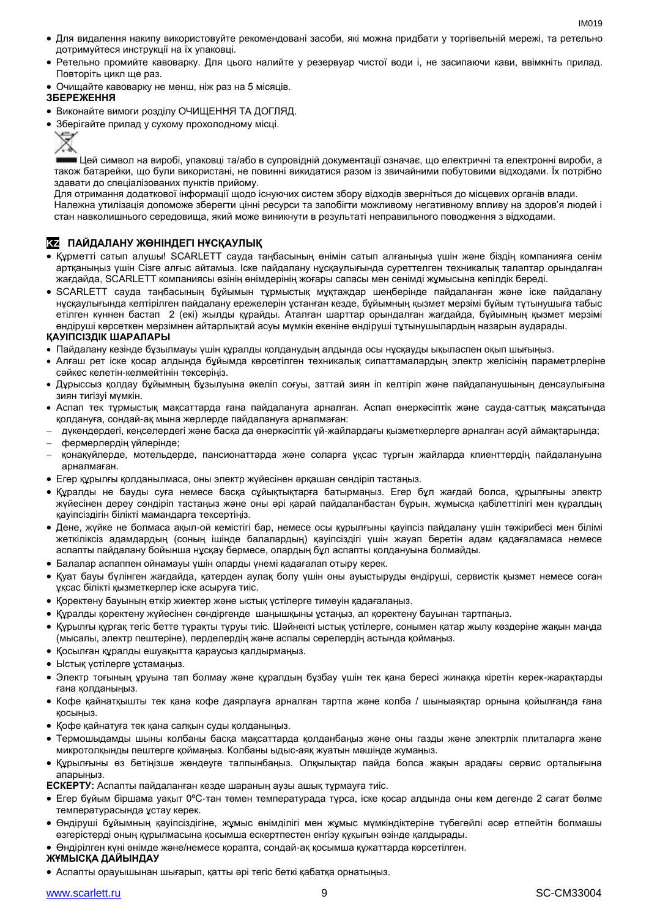- IM<sub>019</sub>
- Для видалення накипу використовуйте рекомендовані засоби, які можна придбати у торгівельній мережі, та ретельно дотримуйтеся инструкції на їх упаковці.
- Ретельно промийте кавоварку. Для цього налийте у резервуар чистої води і, не засипаючи кави, ввімкніть прилад. Повторіть цикл ще раз.
- Очищайте кавоварку не менш, ніж раз на 5 місяців.

### **ЗБЕРЕЖЕННЯ**

- Виконайте вимоги розділу ОЧИЩЕННЯ ТА ДОГЛЯД.
- Зберігайте прилад у сухому прохолодному місці.



Цей символ на виробі, упаковці та/або в супровідній документації означає, що електричні та електронні вироби, а також батарейки, що були використані, не повинні викидатися разом із звичайними побутовими відходами. Їх потрібно здавати до спеціалізованих пунктів прийому.

Для отримання додаткової інформації щодо існуючих систем збору відходів зверніться до місцевих органів влади. Належна утилізація допоможе зберегти цінні ресурси та запобігти можливому негативному впливу на здоров'я людей і стан навколишнього середовища, який може виникнути в результаті неправильного поводження з відходами.

### **KZ ПАЙДАЛАНУ ЖӨНІНДЕГІ НҰСҚАУЛЫҚ**

- Құрметті сатып алушы! SCARLETT сауда таңбасының өнімін сатып алғаныңыз үшін және біздің компанияға сенім артқаныңыз үшін Сізге алғыс айтамыз. Іске пайдалану нұсқаулығында суреттелген техникалық талаптар орындалған жағдайда, SCARLETT компаниясы өзінің өнімдерінің жоғары сапасы мен сенімді жұмысына кепілдік береді.
- SCARLETT сауда таңбасының бұйымын тұрмыстық мұқтаждар шеңберінде пайдаланған және іске пайдалану нұсқаулығында келтірілген пайдалану ережелерін ұстанған кезде, бұйымның қызмет мерзімі бұйым тұтынушыға табыс етілген күннен бастап 2 (екі) жылды құрайды. Аталған шарттар орындалған жағдайда, бұйымның қызмет мерзімі өндіруші көрсеткен мерзімнен айтарлықтай асуы мүмкін екеніне өндіруші тұтынушылардың назарын аударады.

### **ҚАУІПСІЗДІК ШАРАЛАРЫ**

- Пайдалану кезінде бұзылмауы үшін құралды қолданудың алдында осы нұсқауды ықыласпен оқып шығыңыз.
- Алғаш рет іске қосар алдында бұйымда көрсетілген техникалық сипаттамалардың электр желісінің параметрлеріне сәйкес келетін-келмейтінін тексеріңіз.
- Дұрыссыз қолдау бұйымның бұзылуына әкеліп соғуы, заттай зиян іп келтіріп және пайдаланушының денсаулығына зиян тигізуі мүмкін.
- Аспап тек тұрмыстық мақсаттарда ғана пайдалануға арналған. Аспап өнеркәсіптік және сауда-саттық мақсатында қолдануға, сондай-ақ мына жерлерде пайдалануға арналмаған:
- дүкендердегі, кеңселердегі және басқа да өнеркәсіптік үй-жайлардағы қызметкерлерге арналған асүй аймақтарында;
- фермерлердің үйлерінде;
- қонақүйлерде, мотельдерде, пансионаттарда және соларға ұқсас тұрғын жайларда клиенттердің пайдалануына арналмаған.
- Егер құрылғы қолданылмаса, оны электр жүйесінен әрқашан сөндіріп тастаңыз.
- Құралды не бауды суға немесе басқа сұйықтықтарға батырмаңыз. Егер бұл жағдай болса, құрылғыны электр жүйесінен дереу сөндіріп тастаңыз және оны әрі қарай пайдаланбастан бұрын, жұмысқа қабілеттілігі мен құралдың қауіпсіздігін білікті мамандарға тексертіңіз.
- Дене, жүйке не болмаса ақыл-ой кемістігі бар, немесе осы құрылғыны қауіпсіз пайдалану үшін тәжірибесі мен білімі жеткіліксіз адамдардың (соның ішінде балалардың) қауіпсіздігі үшін жауап беретін адам қадағаламаса немесе аспапты пайдалану бойынша нұсқау бермесе, олардың бұл аспапты қолдануына болмайды.
- Балалар аспаппен ойнамауы үшін оларды үнемі қадағалап отыру керек.
- Қуат бауы бүлінген жағдайда, қатерден аулақ болу үшін оны ауыстыруды өндіруші, сервистік қызмет немесе соған ұқсас білікті қызметкерлер іске асыруға тиіс.
- Қоректену бауының өткір жиектер және ыстық үстілерге тимеуін қадағалаңыз.
- Құралды қоректену жүйесінен сөндіргенде шаңышқыны ұстаңыз, ал қоректену бауынан тартпаңыз.
- Құрылғы құрғақ тегіс бетте тұрақты тұруы тиіс. Шәйнекті ыстық үстілерге, сонымен қатар жылу көздеріне жақын маңда (мысалы, электр пештеріне), перделердің және аспалы сөрелердің астында қоймаңыз.
- Қосылған құралды ешуақытта қараусыз қалдырмаңыз.
- Ыстық үстілерге ұстамаңыз.
- Электр тоғының ұруына тап болмау және құралдың бұзбау үшін тек қана бересі жинаққа кіретін керек-жарақтарды ғана қолданыңыз.
- Кофе қайнатқышты тек қана кофе даярлауға арналған тартпа және колба / шыныаяқтар орнына қойылғанда ғана қосыңыз.
- Қофе қайнатуға тек қана салқын суды қолданыңыз.
- Термошыдамды шыны колбаны басқа мақсаттарда қолданбаңыз және оны газды және электрлік плиталарға және микротолқынды пештерге қоймаңыз. Колбаны ыдыс-аяқ жуатын мәшіңде жумаңыз.
- Құрылғыны өз бетіңізше жөндеуге талпынбаңыз. Олқылықтар пайда болса жақын арадағы сервис орталығына апарыңыз.

**ЕСКЕРТУ:** Аспапты пайдаланған кезде шараның аузы ашық тұрмауға тиіс.

- Егер бұйым біршама уақыт 0ºC-тан төмен температурада тұрса, іске қосар алдында оны кем дегенде 2 сағат бөлме температурасында ұстау керек.
- Өндіруші бұйымның қауіпсіздігіне, жұмыс өнімділігі мен жұмыс мүмкіндіктеріне түбегейлі әсер етпейтін болмашы өзгерістерді оның құрылмасына қосымша ескертпестен енгізу құқығын өзінде қалдырады.
- Өндірілген күні өнімде және/немесе қорапта, сондай-ақ қосымша құжаттарда көрсетілген.

### **ЖҰМЫСҚА ДАЙЫНДАУ**

Аспапты орауышынан шығарып, қатты әрі тегіс беткі қабатқа орнатыңыз.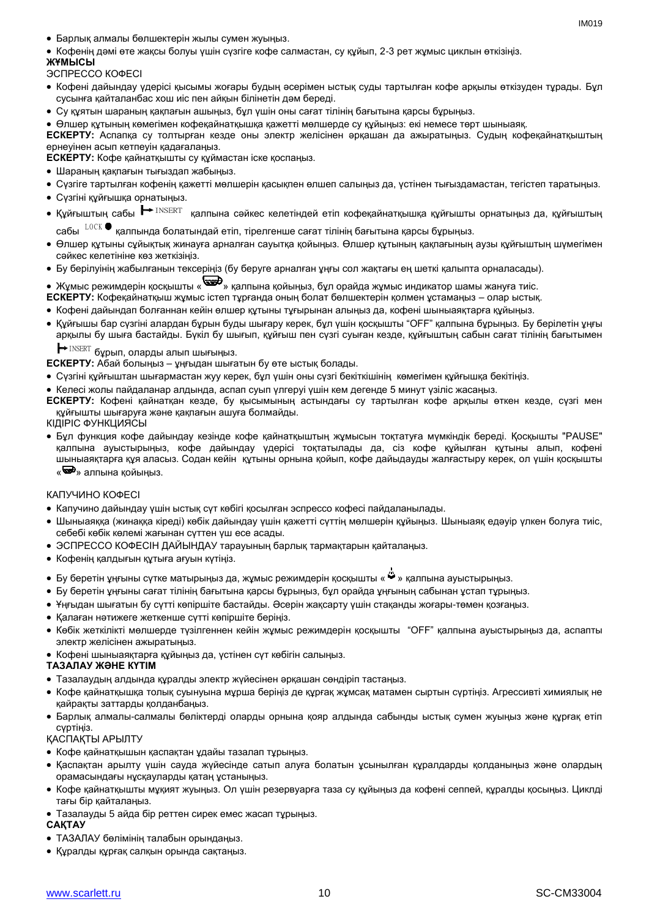- Барлық алмалы бөлшектерін жылы сумен жуыңыз.
- Кофенің дәмі өте жақсы болуы үшін сүзгіге кофе салмастан, су құйып, 2-3 рет жұмыс циклын өткізіңіз.

### **ЖҰМЫСЫ**

ЭСПРЕССО КОФЕСІ

- Кофені дайындау үдерісі қысымы жоғары будың әсерімен ыстық суды тартылған кофе арқылы өткізуден тұрады. Бұл сусынға қайталанбас хош иіс пен айқын білінетін дәм береді.
- Су құятын шараның қақпағын ашыңыз, бұл үшін оны сағат тілінің бағытына қарсы бұрыңыз.
- Өлшер құтының көмегімен кофеқайнатқышқа қажетті мөлшерде су құйыңыз: екі немесе төрт шыныаяқ.

**ЕСКЕРТУ:** Аспапқа су толтырған кезде оны электр желісінен әрқашан да ажыратыңыз. Судың кофеқайнатқыштың ернеуінен асып кетпеуін қадағалаңыз.

**ЕСКЕРТУ:** Кофе қайнатқышты су құймастан іске қоспаңыз.

- Шараның қақпағын тығыздап жабыңыз.
- Сүзгіге тартылған кофенің қажетті мөлшерін қасықпен өлшеп салыңыз да, үстінен тығыздамастан, тегістеп таратыңыз.
- Сүзгіні құйғышқа орнатыңыз.
- Құйғыштың сабы <u>┣ INSERT қалпына сәйкес келетіндей етіп кофеқайнатқышқа құйғышты орнатыңыз да, құйғыштың</u>
	- сабы $^{-{\rm LOCK}}$  қалпында болатындай етіп, тірелгенше сағат тілінің бағытына қарсы бұрыңыз.
- Өлшер құтыны сұйықтық жинауға арналған сауытқа қойыңыз. Өлшер құтының қақпағының аузы құйғыштың шүмегімен сәйкес келетініне көз жеткізіңіз.
- Бу берілуінің жабылғанын тексеріңіз (бу беруге арналған ұңғы сол жақтағы ең шеткі қалыпта орналасады).

## • Жұмыс режимдерін қосқышты «  $\bigoplus_{\lambda}$  қалпына қойыңыз, бұл орайда жұмыс индикатор шамы жануға тиіс.

- **ЕСКЕРТУ:** Кофеқайнатқыш жұмыс істеп тұрғанда оның болат бөлшектерін қолмен ұстамаңыз олар ыстық.
- Кофені дайындап болғаннан кейін өлшер құтыны тұғырынан алыңыз да, кофені шыныаяқтарға құйыңыз.
- Құйғышы бар сүзгіні алардан бұрын буды шығару керек, бұл үшін қосқышты "OFF" қалпына бұрыңыз. Бу берілетін ұңғы арқылы бу шыға бастайды. Бүкіл бу шығып, құйғыш пен сүзгі суыған кезде, құйғыштың сабын сағат тілінің бағытымен  $\text{INSERT}$  бұрып, оларды алып шығыңыз.  $\blacksquare$ 
	-

**ЕСКЕРТУ:** Абай болыңыз – ұңғыдан шығатын бу өте ыстық болады.

- Сүзгіні құйғыштан шығармастан жуу керек, бұл үшін оны сүзгі бекіткішінің көмегімен құйғышқа бекітіңіз.
- Келесі жолы пайдаланар алдында, аспап суып үлгеруі үшін кем дегенде 5 минут үзіліс жасаңыз.
- **ЕСКЕРТУ:** Кофені қайнатқан кезде, бу қысымының астындағы су тартылған кофе арқылы өткен кезде, сүзгі мен құйғышты шығаруға және қақпағын ашуға болмайды.
- КІДІРІС ФУНКЦИЯСЫ
- Бұл функция кофе дайындау кезінде кофе қайнатқыштың жұмысын тоқтатуға мүмкіндік береді. Қосқышты "PAUSE" қалпына ауыстырыңыз, кофе дайындау үдерісі тоқтатылады да, сіз кофе құйылған құтыны алып, кофені шыныаяқтарға құя аласыз. Содан кейін құтыны орнына қойып, кофе дайыдауды жалғастыру керек, ол үшін қосқышты «<sup>•••••</sup>» алпына койыныз.

### КАПУЧИНО КОФЕСІ

- Капучино дайындау үшін ыстық сүт көбігі қосылған эспрессо кофесі пайдаланылады.
- Шыныаяққа (жинаққа кіреді) көбік дайындау үшін қажетті сүттің мөлшерін құйыңыз. Шыныаяқ едәуір үлкен болуға тиіс, себебі көбік көлемі жағынан сүттен үш есе асады.
- ЭСПРЕССО КОФЕСІН ДАЙЫНДАУ тарауының барлық тармақтарын қайталаңыз.
- Кофенің қалдығын құтыға ағуын күтіңіз.
- Бу беретін ұңғыны сүтке матырыңыз да, жұмыс режимдерін қосқышты « » қалпына ауыстырыңыз.
- Бу беретін ұңғыны сағат тілінің бағытына қарсы бұрыңыз, бұл орайда ұңғының сабынан ұстап тұрыңыз.
- Ұңғыдан шығатын бу сүтті көпіршіте бастайды. Әсерін жақсарту үшін стақанды жоғары-төмен қозғаңыз.
- Қалаған нәтижеге жеткенше сүтті көпіршіте берініз.
- Көбік жеткілікті мөлшерде түзілгеннен кейін жұмыс режимдерін қосқышты "OFF" қалпына ауыстырыңыз да, аспапты электр желісінен ажыратыңыз.
- Кофені шыныаяқтарға құйыңыз да, үстінен сүт көбігін салыңыз.

### **ТАЗАЛАУ ЖӘНЕ КҮТІМ**

- Тазалаудың алдында құралды электр жүйесінен әрқашан сөндіріп тастаңыз.
- Кофе қайнатқышқа толық суынуына мұрша беріңіз де құрғақ жұмсақ матамен сыртын сүртіңіз. Агрессивті химиялық не қайрақты заттарды қолданбаңыз.
- Барлық алмалы-салмалы бөліктерді оларды орнына қояр алдында сабынды ыстық сумен жуыңыз және құрғақ етіп сүртіңіз.

### ҚАСПАҚТЫ АРЫЛТУ

- Кофе қайнатқышын қаспақтан ұдайы тазалап тұрыңыз.
- Қаспақтан арылту үшін сауда жүйесінде сатып алуға болатын ұсынылған құралдарды қолданыңыз және олардың орамасындағы нұсқауларды қатаң ұстаныңыз.
- Кофе қайнатқышты мұқият жуыңыз. Ол үшін резервуарға таза су құйыңыз да кофені сеппей, құралды қосыңыз. Циклді тағы бір қайталаңыз.
- Тазалауды 5 айда бір реттен сирек емес жасап тұрыңыз.

### **САҚТАУ**

- ТАЗАЛАУ бөлімінің талабын орындаңыз.
- Құралды құрғақ салқын орында сақтаңыз.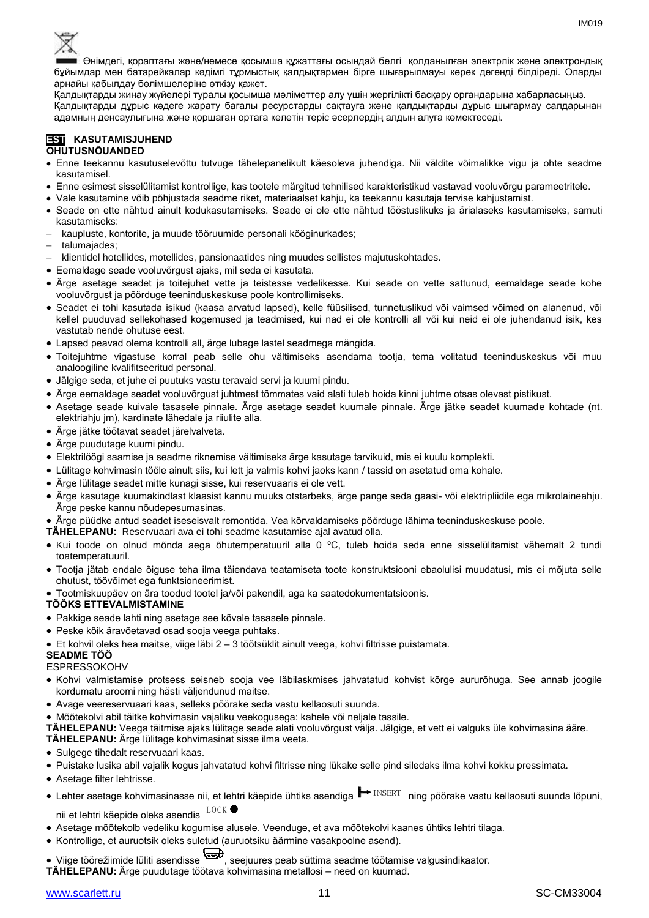

Өнімдегі, қораптағы және/немесе қосымша құжаттағы осындай белгі қолданылған электрлік және электрондық бұйымдар мен батарейкалар кәдімгі тұрмыстық қалдықтармен бірге шығарылмауы керек дегенді білдіреді. Оларды арнайы қабылдау бөлімшелеріне өткізу қажет.

Қалдықтарды жинау жүйелері туралы қосымша мәліметтер алу үшін жергілікті басқару органдарына хабарласыңыз. Қалдықтарды дұрыс кәдеге жарату бағалы ресурстарды сақтауға және қалдықтарды дұрыс шығармау салдарынан адамның денсаулығына және қоршаған ортаға келетін теріс әсерлердің алдын алуға көмектеседі.

### **EST KASUTAMISJUHEND**

### **OHUTUSNÕUANDED**

- Enne teekannu kasutuselevõttu tutvuge tähelepanelikult käesoleva juhendiga. Nii väldite võimalikke vigu ja ohte seadme kasutamisel.
- Enne esimest sisselülitamist kontrollige, kas tootele märgitud tehnilised karakteristikud vastavad vooluvõrgu parameetritele.
- Vale kasutamine võib põhjustada seadme riket, materiaalset kahju, ka teekannu kasutaja tervise kahjustamist.
- Seade on ette nähtud ainult kodukasutamiseks. Seade ei ole ette nähtud tööstuslikuks ja ärialaseks kasutamiseks, samuti kasutamiseks:
- kaupluste, kontorite, ja muude tööruumide personali kööginurkades;
- talumajades:
- klientidel hotellides, motellides, pansionaatides ning muudes sellistes majutuskohtades.
- Eemaldage seade vooluvõrgust ajaks, mil seda ei kasutata.
- Ärge asetage seadet ja toitejuhet vette ja teistesse vedelikesse. Kui seade on vette sattunud, eemaldage seade kohe vooluvõrgust ja pöörduge teeninduskeskuse poole kontrollimiseks.
- Seadet ei tohi kasutada isikud (kaasa arvatud lapsed), kelle füüsilised, tunnetuslikud või vaimsed võimed on alanenud, või kellel puuduvad sellekohased kogemused ja teadmised, kui nad ei ole kontrolli all või kui neid ei ole juhendanud isik, kes vastutab nende ohutuse eest.
- Lapsed peavad olema kontrolli all, ärge lubage lastel seadmega mängida.
- Toitejuhtme vigastuse korral peab selle ohu vältimiseks asendama tootja, tema volitatud teeninduskeskus või muu analoogiline kvalifitseeritud personal.
- Jälgige seda, et juhe ei puutuks vastu teravaid servi ja kuumi pindu.
- Ärge eemaldage seadet vooluvõrgust juhtmest tõmmates vaid alati tuleb hoida kinni juhtme otsas olevast pistikust.
- Asetage seade kuivale tasasele pinnale. Ärge asetage seadet kuumale pinnale. Ärge jätke seadet kuumade kohtade (nt. elektriahju jm), kardinate lähedale ja riiulite alla.
- Ärge jätke töötavat seadet järelvalveta.
- Ärge puudutage kuumi pindu.
- Elektrilöögi saamise ja seadme riknemise vältimiseks ärge kasutage tarvikuid, mis ei kuulu komplekti.
- Lülitage kohvimasin tööle ainult siis, kui lett ja valmis kohvi jaoks kann / tassid on asetatud oma kohale.
- Ärge lülitage seadet mitte kunagi sisse, kui reservuaaris ei ole vett.
- Ärge kasutage kuumakindlast klaasist kannu muuks otstarbeks, ärge pange seda gaasi- või elektripliidile ega mikrolaineahju. Ärge peske kannu nõudepesumasinas.
- Ärge püüdke antud seadet iseseisvalt remontida. Vea kõrvaldamiseks pöörduge lähima teeninduskeskuse poole.
- **TÄHELEPANU:** Reservuaari ava ei tohi seadme kasutamise ajal avatud olla.
- Kui toode on olnud mõnda aega õhutemperatuuril alla 0 ºC, tuleb hoida seda enne sisselülitamist vähemalt 2 tundi toatemperatuuril.
- Tootja jätab endale õiguse teha ilma täiendava teatamiseta toote konstruktsiooni ebaolulisi muudatusi, mis ei mõjuta selle ohutust, töövõimet ega funktsioneerimist.
- Tootmiskuupäev on ära toodud tootel ja/või pakendil, aga ka saatedokumentatsioonis.

### **TÖÖKS ETTEVALMISTAMINE**

- Pakkige seade lahti ning asetage see kõvale tasasele pinnale.
- Peske kõik äravõetavad osad sooja veega puhtaks.
- Et kohvil oleks hea maitse, viige läbi 2 3 töötsüklit ainult veega, kohvi filtrisse puistamata.

### **SEADME TÖÖ**

### ESPRESSOKOHV

- Kohvi valmistamise protsess seisneb sooja vee läbilaskmises jahvatatud kohvist kõrge aururõhuga. See annab joogile kordumatu aroomi ning hästi väljendunud maitse.
- Avage veereservuaari kaas, selleks pöörake seda vastu kellaosuti suunda.
- Mõõtekolvi abil täitke kohvimasin vajaliku veekogusega: kahele või neljale tassile.

**TÄHELEPANU:** Veega täitmise ajaks lülitage seade alati vooluvõrgust välja. Jälgige, et vett ei valguks üle kohvimasina ääre.

### **TÄHELEPANU:** Ärge lülitage kohvimasinat sisse ilma veeta.

- Sulgege tihedalt reservuaari kaas.
- Puistake lusika abil vajalik kogus jahvatatud kohvi filtrisse ning lükake selle pind siledaks ilma kohvi kokku pressimata.
- Asetage filter lehtrisse.
- Lehter asetage kohvimasinasse nii, et lehtri käepide ühtiks asendiga INSERT ning pöörake vastu kellaosuti suunda lõpuni, L O C K

nii et lehtri käepide oleks asendis

- Asetage mõõtekolb vedeliku kogumise alusele. Veenduge, et ava mõõtekolvi kaanes ühtiks lehtri tilaga.
- Kontrollige, et auruotsik oleks suletud (auruotsiku äärmine vasakpoolne asend).

# Viige töörežiimide lüliti asendisse , seejuures peab süttima seadme töötamise valgusindikaator.

**TÄHELEPANU:** Ärge puudutage töötava kohvimasina metallosi – need on kuumad.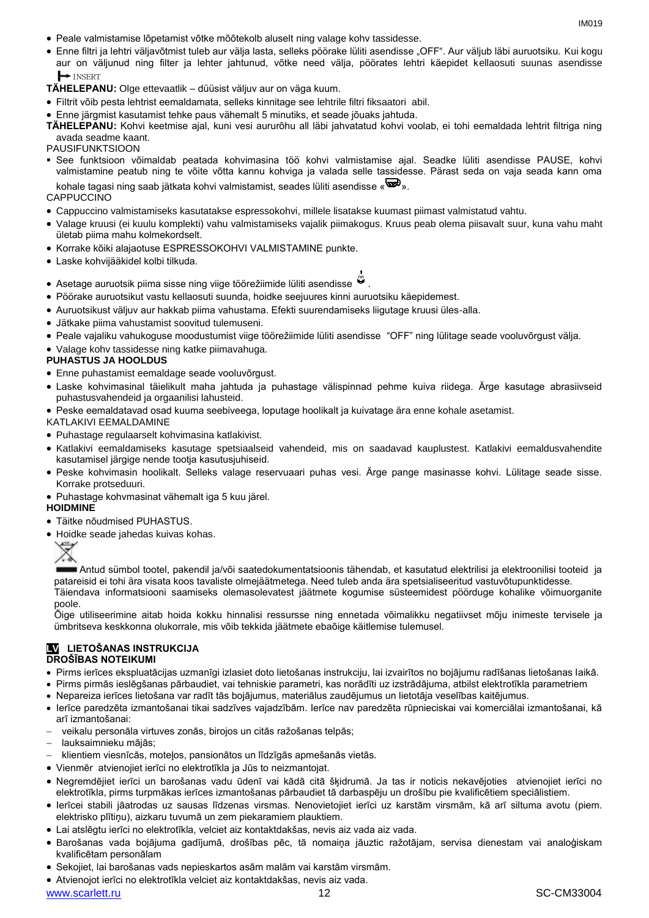- Peale valmistamise lõpetamist võtke mõõtekolb aluselt ning valage kohv tassidesse.
- Enne filtri ja lehtri väljavõtmist tuleb aur välja lasta, selleks pöörake lüliti asendisse "OFF". Aur väljub läbi auruotsiku. Kui kogu aur on väljunud ning filter ja lehter jahtunud, võtke need välja, pöörates lehtri käepidet kellaosuti suunas asendisse INSERT
- **TÄHELEPANU:** Olge ettevaatlik düüsist väljuv aur on väga kuum.
- Filtrit võib pesta lehtrist eemaldamata, selleks kinnitage see lehtrile filtri fiksaatori abil.
- Enne järgmist kasutamist tehke paus vähemalt 5 minutiks, et seade jõuaks jahtuda.

**TÄHELEPANU:** Kohvi keetmise ajal, kuni vesi aururõhu all läbi jahvatatud kohvi voolab, ei tohi eemaldada lehtrit filtriga ning avada seadme kaant.

### PAUSIFUNKTSIOON

 See funktsioon võimaldab peatada kohvimasina töö kohvi valmistamise ajal. Seadke lüliti asendisse PAUSE, kohvi valmistamine peatub ning te võite võtta kannu kohviga ja valada selle tassidesse. Pärast seda on vaja seada kann oma kohale tagasi ning saab jätkata kohvi valmistamist, seades lüliti asendisse « $\overline{\mathbb{S}^D}$ ».

### **CAPPUCCINO**

- Cappuccino valmistamiseks kasutatakse espressokohvi, millele lisatakse kuumast piimast valmistatud vahtu.
- Valage kruusi (ei kuulu komplekti) vahu valmistamiseks vajalik piimakogus. Kruus peab olema piisavalt suur, kuna vahu maht ületab piima mahu kolmekordselt.
- Korrake kõiki alajaotuse ESPRESSOKOHVI VALMISTAMINE punkte.
- Laske kohvijääkidel kolbi tilkuda.
- Asetage auruotsik piima sisse ning viige töörežiimide lüliti asendisse .
- Pöörake auruotsikut vastu kellaosuti suunda, hoidke seejuures kinni auruotsiku käepidemest.
- Auruotsikust väljuv aur hakkab piima vahustama. Efekti suurendamiseks liigutage kruusi üles-alla.
- Jätkake piima vahustamist soovitud tulemuseni.
- Peale vajaliku vahukoguse moodustumist viige töörežiimide lüliti asendisse "OFF" ning lülitage seade vooluvõrgust välja.
- Valage kohv tassidesse ning katke piimavahuga.

### **PUHASTUS JA HOOLDUS**

- Enne puhastamist eemaldage seade vooluvõrgust.
- Laske kohvimasinal täielikult maha jahtuda ja puhastage välispinnad pehme kuiva riidega. Ärge kasutage abrasiivseid puhastusvahendeid ja orgaanilisi lahusteid.
- Peske eemaldatavad osad kuuma seebiveega, loputage hoolikalt ja kuivatage ära enne kohale asetamist.

KATLAKIVI EEMALDAMINE

- Puhastage regulaarselt kohvimasina katlakivist.
- Katlakivi eemaldamiseks kasutage spetsiaalseid vahendeid, mis on saadavad kauplustest. Katlakivi eemaldusvahendite kasutamisel järgige nende tootja kasutusjuhiseid.
- Peske kohvimasin hoolikalt. Selleks valage reservuaari puhas vesi. Ärge pange masinasse kohvi. Lülitage seade sisse. Korrake protseduuri.
- Puhastage kohvmasinat vähemalt iga 5 kuu järel.

### **HOIDMINE**

- Täitke nõudmised PUHASTUS.
- Hoidke seade jahedas kuivas kohas.



Antud sümbol tootel, pakendil ja/või saatedokumentatsioonis tähendab, et kasutatud elektrilisi ja elektroonilisi tooteid ja patareisid ei tohi ära visata koos tavaliste olmejäätmetega. Need tuleb anda ära spetsialiseeritud vastuvõtupunktidesse. Täiendava informatsiooni saamiseks olemasolevatest jäätmete kogumise süsteemidest pöörduge kohalike võimuorganite poole.

Õige utiliseerimine aitab hoida kokku hinnalisi ressursse ning ennetada võimalikku negatiivset mõju inimeste tervisele ja ümbritseva keskkonna olukorrale, mis võib tekkida jäätmete ebaõige käitlemise tulemusel.

### **LV LIETOŠANAS INSTRUKCIJA DROŠĪBAS NOTEIKUMI**

- Pirms ierīces ekspluatācijas uzmanīgi izlasiet doto lietošanas instrukciju, lai izvairītos no bojājumu radīšanas lietošanas laikā.
- Pirms pirmās ieslēgšanas pārbaudiet, vai tehniskie parametri, kas norādīti uz izstrādājuma, atbilst elektrotīkla parametriem
- Nepareiza ierīces lietošana var radīt tās bojājumus, materiālus zaudējumus un lietotāja veselības kaitējumus.
- Ierīce paredzēta izmantošanai tikai sadzīves vajadzībām. Ierīce nav paredzēta rūpnieciskai vai komerciālai izmantošanai, kā arī izmantošanai:
- veikalu personāla virtuves zonās, birojos un citās ražošanas telpās;
- lauksaimnieku mājās;
- klientiem viesnīcās, moteļos, pansionātos un līdzīgās apmešanās vietās.
- Vienmēr atvienojiet ierīci no elektrotīkla ja Jūs to neizmantojat.
- Negremdējiet ierīci un barošanas vadu ūdenī vai kādā citā šķidrumā. Ja tas ir noticis nekavējoties atvienojiet ierīci no elektrotīkla, pirms turpmākas ierīces izmantošanas pārbaudiet tā darbaspēju un drošību pie kvalificētiem speciālistiem.
- Ierīcei stabili jāatrodas uz sausas līdzenas virsmas. Nenovietojiet ierīci uz karstām virsmām, kā arī siltuma avotu (piem. elektrisko plītiņu), aizkaru tuvumā un zem piekaramiem plauktiem.
- Lai atslēgtu ierīci no elektrotīkla, velciet aiz kontaktdakšas, nevis aiz vada aiz vada.
- Barošanas vada bojājuma gadījumā, drošības pēc, tā nomaiņa jāuztic ražotājam, servisa dienestam vai analoģiskam kvalificētam personālam
- Sekojiet, lai barošanas vads nepieskartos asām malām vai karstām virsmām.
- Atvienojot ierīci no elektrotīkla velciet aiz kontaktdakšas, nevis aiz vada.

www.scarlett.ru 12 SC-CM33004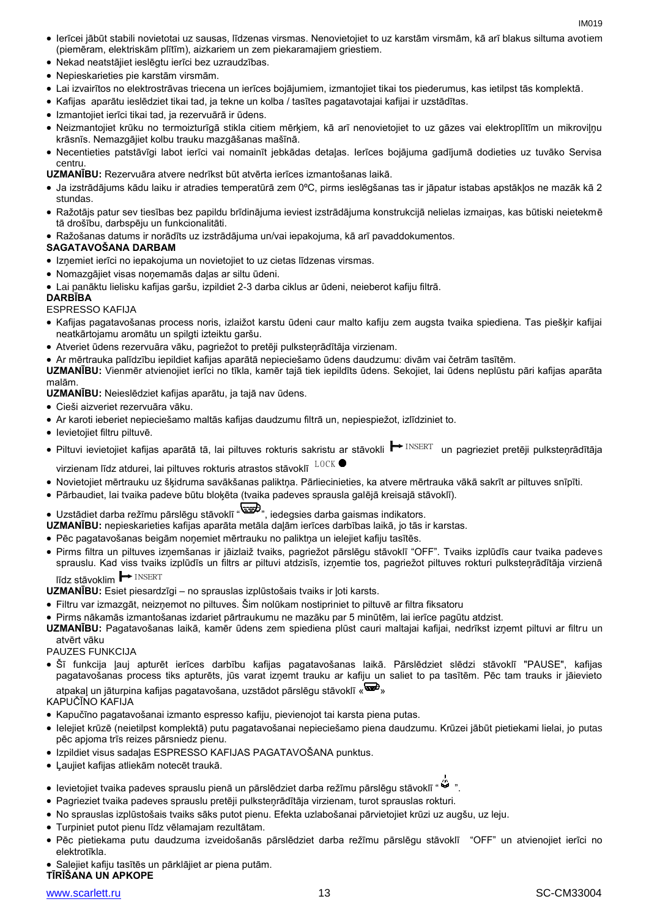IM<sub>019</sub>

- Ierīcei jābūt stabili novietotai uz sausas, līdzenas virsmas. Nenovietojiet to uz karstām virsmām, kā arī blakus siltuma avotiem (piemēram, elektriskām plītīm), aizkariem un zem piekaramajiem griestiem.
- Nekad neatstājiet ieslēgtu ierīci bez uzraudzības.
- Nepieskarieties pie karstām virsmām.
- Lai izvairītos no elektrostrāvas triecena un ierīces bojājumiem, izmantojiet tikai tos piederumus, kas ietilpst tās komplektā.
- Kafijas aparātu ieslēdziet tikai tad, ja tekne un kolba / tasītes pagatavotajai kafijai ir uzstādītas.
- Izmantojiet ierīci tikai tad, ja rezervuārā ir ūdens.
- Neizmantojiet krūku no termoizturīgā stikla citiem mērķiem, kā arī nenovietojiet to uz gāzes vai elektroplītīm un mikroviļņu krāsnīs. Nemazgājiet kolbu trauku mazgāšanas mašīnā.
- Necentieties patstāvīgi labot ierīci vai nomainīt jebkādas detaļas. Ierīces bojājuma gadījumā dodieties uz tuvāko Servisa centru.

**UZMANĪBU:** Rezervuāra atvere nedrīkst būt atvērta ierīces izmantošanas laikā.

- Ja izstrādājums kādu laiku ir atradies temperatūrā zem 0ºC, pirms ieslēgšanas tas ir jāpatur istabas apstākļos ne mazāk kā 2 stundas.
- Ražotājs patur sev tiesības bez papildu brīdinājuma ieviest izstrādājuma konstrukcijā nelielas izmaiņas, kas būtiski neietekmē tā drošību, darbspēju un funkcionalitāti.
- Ražošanas datums ir norādīts uz izstrādājuma un/vai iepakojuma, kā arī pavaddokumentos.

### **SAGATAVOŠANA DARBAM**

- Izņemiet ierīci no iepakojuma un novietojiet to uz cietas līdzenas virsmas.
- Nomazgājiet visas noņemamās daļas ar siltu ūdeni.
- Lai panāktu lielisku kafijas garšu, izpildiet 2-3 darba ciklus ar ūdeni, neieberot kafiju filtrā.

### **DARBĪBA**

### ESPRESSO KAFIJA

- Kafijas pagatavošanas process noris, izlaižot karstu ūdeni caur malto kafiju zem augsta tvaika spiediena. Tas piešķir kafijai neatkārtojamu aromātu un spilgti izteiktu garšu.
- Atveriet ūdens rezervuāra vāku, pagriežot to pretēji pulksteņrādītāja virzienam.
- Ar mērtrauka palīdzību iepildiet kafijas aparātā nepieciešamo ūdens daudzumu: divām vai četrām tasītēm.

**UZMANĪBU:** Vienmēr atvienojiet ierīci no tīkla, kamēr tajā tiek iepildīts ūdens. Sekojiet, lai ūdens neplūstu pāri kafijas aparāta malām.

**UZMANĪBU:** Neieslēdziet kafijas aparātu, ja tajā nav ūdens.

- Cieši aizveriet rezervuāra vāku.
- Ar karoti ieberiet nepieciešamo maltās kafijas daudzumu filtrā un, nepiespiežot, izlīdziniet to.
- Ievietojiet filtru piltuvē.
- Piltuvi ievietojiet kafijas aparātā tā, lai piltuves rokturis sakristu ar stāvokli ➡ INSERT un pagrieziet pretēji pulksteņrādītāja<br>virzienam līdz atdurei, lai piltuves rokturis atrastos stāvoklī 「LOCK virzienam līdz atdurei, lai piltuves rokturis atrastos stāvoklī  $^{LOGK}$
- Novietojiet mērtrauku uz šķidruma savākšanas paliktņa. Pārliecinieties, ka atvere mērtrauka vākā sakrīt ar piltuves snīpīti.
- Pārbaudiet, lai tvaika padeve būtu bloķēta (tvaika padeves sprausla galējā kreisajā stāvoklī).
- Uzstādiet darba režīmu pārslēgu stāvoklī " (مصلح ", iedegsies darba gaismas indikators.

**UZMANĪBU:** nepieskarieties kafijas aparāta metāla daļām ierīces darbības laikā, jo tās ir karstas.

- Pēc pagatavošanas beigām noņemiet mērtrauku no paliktņa un ielejiet kafiju tasītēs.
- Pirms filtra un piltuves izņemšanas ir jāizlaiž tvaiks, pagriežot pārslēgu stāvoklī "OFF". Tvaiks izplūdīs caur tvaika padeves sprauslu. Kad viss tvaiks izplūdīs un filtrs ar piltuvi atdzisīs, izņemtie tos, pagriežot piltuves rokturi pulksteņrādītāja virzienā līdz stāvoklim **+** INSERT INSERT

**UZMANĪBU:** Esiet piesardzīgi – no sprauslas izplūstošais tvaiks ir ļoti karsts.

- Filtru var izmazgāt, neizņemot no piltuves. Šim nolūkam nostipriniet to piltuvē ar filtra fiksatoru
- Pirms nākamās izmantošanas izdariet pārtraukumu ne mazāku par 5 minūtēm, lai ierīce pagūtu atdzist.
- **UZMANĪBU:** Pagatavošanas laikā, kamēr ūdens zem spiediena plūst cauri maltajai kafijai, nedrīkst izņemt piltuvi ar filtru un atvērt vāku

### PAUZES FUNKCIJA

 Šī funkcija ļauj apturēt ierīces darbību kafijas pagatavošanas laikā. Pārslēdziet slēdzi stāvoklī "PAUSE", kafijas pagatavošanas process tiks apturēts, jūs varat izņemt trauku ar kafiju un saliet to pa tasītēm. Pēc tam trauks ir jāievieto atpakaļ un jāturpina kafijas pagatavošana, uzstādot pārslēgu stāvoklī « »

### KAPUČĪNO KAFIJA

- Kapučīno pagatavošanai izmanto espresso kafiju, pievienojot tai karsta piena putas.
- Ielejiet krūzē (neietilpst komplektā) putu pagatavošanai nepieciešamo piena daudzumu. Krūzei jābūt pietiekami lielai, jo putas pēc apjoma trīs reizes pārsniedz pienu.
- Izpildiet visus sadaļas ESPRESSO KAFIJAS PAGATAVOŠANA punktus.
- Ļaujiet kafijas atliekām notecēt traukā.
- Ievietojiet tvaika padeves sprauslu pienā un pārslēdziet darba režīmu pārslēgu stāvoklī " ".
- Pagrieziet tvaika padeves sprauslu pretēji pulksteņrādītāja virzienam, turot sprauslas rokturi.
- No sprauslas izplūstošais tvaiks sāks putot pienu. Efekta uzlabošanai pārvietojiet krūzi uz augšu, uz leju.
- Turpiniet putot pienu līdz vēlamajam rezultātam.
- Pēc pietiekama putu daudzuma izveidošanās pārslēdziet darba režīmu pārslēgu stāvoklī "OFF" un atvienojiet ierīci no elektrotīkla.
- Salejiet kafiju tasītēs un pārklājiet ar piena putām.

## **TĪRĪŠANA UN APKOPE**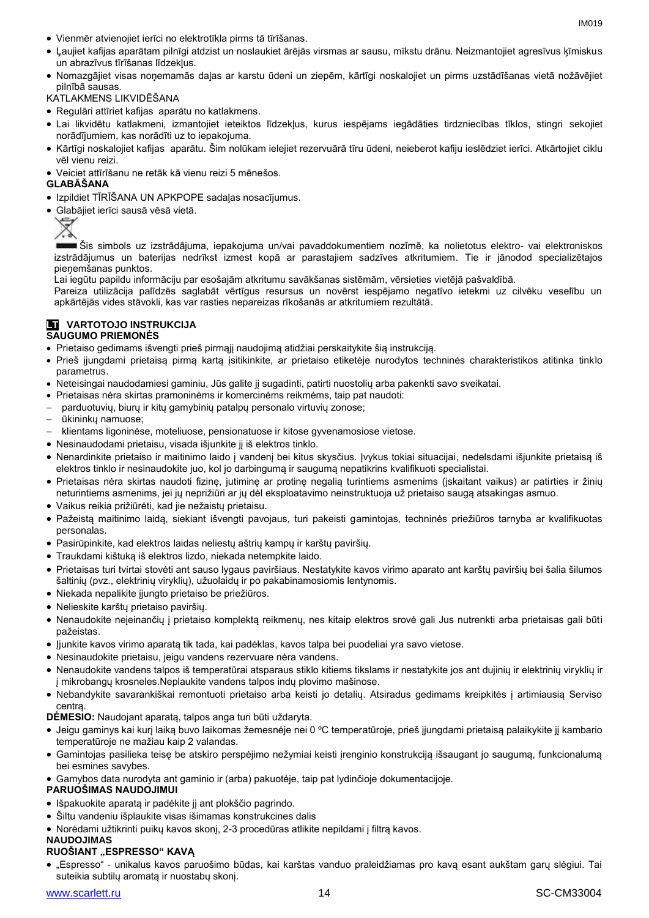- Vienmēr atvienojiet ierīci no elektrotīkla pirms tā tīrīšanas.
- Ļaujiet kafijas aparātam pilnīgi atdzist un noslaukiet ārējās virsmas ar sausu, mīkstu drānu. Neizmantojiet agresīvus ķīmiskus un abrazīvus tīrīšanas līdzekļus.
- Nomazgājiet visas noņemamās daļas ar karstu ūdeni un ziepēm, kārtīgi noskalojiet un pirms uzstādīšanas vietā nožāvējiet pilnībā sausas.

KATLAKMENS LIKVIDĒŠANA

- Regulāri attīriet kafijas aparātu no katlakmens.
- Lai likvidētu katlakmeni, izmantojiet ieteiktos līdzekļus, kurus iespējams iegādāties tirdzniecības tīklos, stingri sekojiet norādījumiem, kas norādīti uz to iepakojuma.
- Kārtīgi noskalojiet kafijas aparātu. Šim nolūkam ielejiet rezervuārā tīru ūdeni, neieberot kafiju ieslēdziet ierīci. Atkārtojiet ciklu vēl vienu reizi.
- Veiciet attīrīšanu ne retāk kā vienu reizi 5 mēnešos.

### **GLABĀŠANA**

- Izpildiet TĪRĪŠANA UN APKPOPE sadaļas nosacījumus.
- Glabājiet ierīci sausā vēsā vietā.



Šis simbols uz izstrādājuma, iepakojuma un/vai pavaddokumentiem nozīmē, ka nolietotus elektro- vai elektroniskos izstrādājumus un baterijas nedrīkst izmest kopā ar parastajiem sadzīves atkritumiem. Tie ir jānodod specializētajos pieņemšanas punktos.

Lai iegūtu papildu informāciju par esošajām atkritumu savākšanas sistēmām, vērsieties vietējā pašvaldībā.

Pareiza utilizācija palīdzēs saglabāt vērtīgus resursus un novērst iespējamo negatīvo ietekmi uz cilvēku veselību un apkārtējās vides stāvokli, kas var rasties nepareizas rīkošanās ar atkritumiem rezultātā.

### **LT VARTOTOJO INSTRUKCIJA SAUGUMO PRIEMONĖS**

- Prietaiso gedimams išvengti prieš pirmąjį naudojimą atidžiai perskaitykite šią instrukciją.
- Prieš įjungdami prietaisą pirmą kartą įsitikinkite, ar prietaiso etiketėje nurodytos techninės charakteristikos atitinka tinklo parametrus.
- Neteisingai naudodamiesi gaminiu, Jūs galite jį sugadinti, patirti nuostolių arba pakenkti savo sveikatai.
- Prietaisas nėra skirtas pramoninėms ir komercinėms reikmėms, taip pat naudoti:
- parduotuvių, biurų ir kitų gamybinių patalpų personalo virtuvių zonose;
- ūkininkų namuose;
- klientams ligoninėse, moteliuose, pensionatuose ir kitose gyvenamosiose vietose.
- Nesinaudodami prietaisu, visada išjunkite jį iš elektros tinklo.
- Nenardinkite prietaiso ir maitinimo laido į vandenį bei kitus skysčius. Įvykus tokiai situacijai, nedelsdami išjunkite prietaisą iš elektros tinklo ir nesinaudokite juo, kol jo darbingumą ir saugumą nepatikrins kvalifikuoti specialistai.
- Prietaisas nėra skirtas naudoti fizinę, jutiminę ar protinę negalią turintiems asmenims (įskaitant vaikus) ar patirties ir žinių neturintiems asmenims, jei jų neprižiūri ar jų dėl eksploatavimo neinstruktuoja už prietaiso saugą atsakingas asmuo.
- Vaikus reikia prižiūrėti, kad jie nežaistų prietaisu.
- Pažeistą maitinimo laidą, siekiant išvengti pavojaus, turi pakeisti gamintojas, techninės priežiūros tarnyba ar kvalifikuotas personalas.
- Pasirūpinkite, kad elektros laidas neliestų aštrių kampų ir karštų paviršių.
- Traukdami kištuką iš elektros lizdo, niekada netempkite laido.
- Prietaisas turi tvirtai stovėti ant sauso lygaus paviršiaus. Nestatykite kavos virimo aparato ant karštų paviršių bei šalia šilumos šaltinių (pvz., elektrinių viryklių), užuolaidų ir po pakabinamosiomis lentynomis.
- Niekada nepalikite įjungto prietaiso be priežiūros.
- Nelieskite karštų prietaiso paviršių.
- Nenaudokite neįeinančių į prietaiso komplektą reikmenų, nes kitaip elektros srovė gali Jus nutrenkti arba prietaisas gali būti pažeistas.
- Jjunkite kavos virimo aparatą tik tada, kai padėklas, kavos talpa bei puodeliai yra savo vietose.
- Nesinaudokite prietaisu, jeigu vandens rezervuare nėra vandens.
- Nenaudokite vandens talpos iš temperatūrai atsparaus stiklo kitiems tikslams ir nestatykite jos ant dujinių ir elektrinių viryklių ir į mikrobangų krosneles.Neplaukite vandens talpos indų plovimo mašinose.
- Nebandykite savarankiškai remontuoti prietaiso arba keisti jo detalių. Atsiradus gedimams kreipkitės į artimiausią Serviso centrą.
- **DĖMESIO:** Naudojant aparatą, talpos anga turi būti uždaryta.
- Jeigu gaminys kai kurį laiką buvo laikomas žemesnėje nei 0 ºC temperatūroje, prieš įjungdami prietaisą palaikykite jį kambario temperatūroje ne mažiau kaip 2 valandas.
- Gamintojas pasilieka teisę be atskiro perspėjimo nežymiai keisti įrenginio konstrukciją išsaugant jo saugumą, funkcionalumą bei esmines savybes.
- Gamybos data nurodyta ant gaminio ir (arba) pakuotėje, taip pat lydinčioje dokumentacijoje.

### **PARUOŠIMAS NAUDOJIMUI**

- Išpakuokite aparatą ir padėkite jį ant plokščio pagrindo.
- Šiltu vandeniu išplaukite visas išimamas konstrukcines dalis
- Norėdami užtikrinti puikų kavos skonį, 2-3 procedūras atlikite nepildami į filtrą kavos.

### **NAUDOJIMAS**

- **RUOŠIANT "ESPRESSO" KAVĄ**
- "Espresso" unikalus kavos paruošimo būdas, kai karštas vanduo praleidžiamas pro kavą esant aukštam garų slėgiui. Tai suteikia subtilų aromatą ir nuostabų skonį.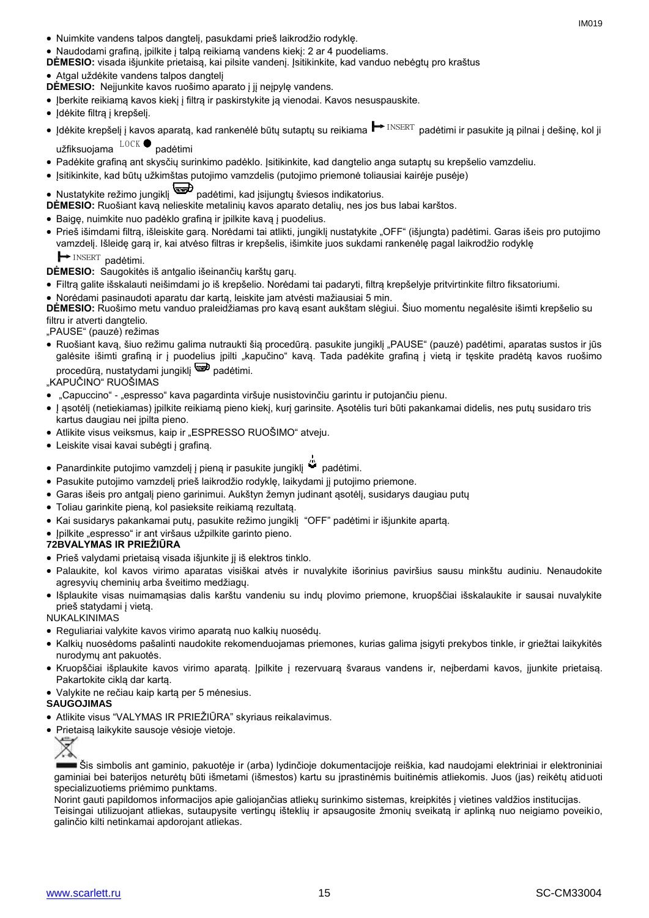- Nuimkite vandens talpos dangtelį, pasukdami prieš laikrodžio rodyklę.
- Naudodami grafiną, įpilkite į talpą reikiamą vandens kiekį: 2 ar 4 puodeliams.
- **DĖMESIO:** visada išjunkite prietaisą, kai pilsite vandenį. Įsitikinkite, kad vanduo nebėgtų pro kraštus
- Atgal uždėkite vandens talpos dangtelį
- **DĖMESIO:** Neįjunkite kavos ruošimo aparato į jį neįpylę vandens.
- Įberkite reikiamą kavos kiekį į filtrą ir paskirstykite ją vienodai. Kavos nesuspauskite.
- Idėkite filtrą į krepšelį.
- Įdėkite krepšelį į kavos aparatą, kad rankenėlė būtų sutaptų su reikiama ➡ INSERT padėtimi ir pasukite ją pilnai į dešinę, kol ji<br>užfiksuoiama <sup>LOCK</sup> padėtimi užfiksuojama <sup>LOCR</sup> padėtimi
- Padėkite grafiną ant skysčių surinkimo padėklo. Įsitikinkite, kad dangtelio anga sutaptų su krepšelio vamzdeliu.
- Įsitikinkite, kad būtų užkimštas putojimo vamzdelis (putojimo priemonė toliausiai kairėje pusėje)
- Nustatykite režimo jungiklį padėtimi, kad įsijungtų šviesos indikatorius.
- **DĖMESIO:** Ruošiant kavą nelieskite metalinių kavos aparato detalių, nes jos bus labai karštos.
- Baigę, nuimkite nuo padėklo grafiną ir įpilkite kavą į puodelius.
- Prieš išimdami filtrą, išleiskite garą. Norėdami tai atlikti, jungiklį nustatykite "OFF" (išjungta) padėtimi. Garas išeis pro putojimo vamzdelį. Išleidę garą ir, kai atvėso filtras ir krepšelis, išimkite juos sukdami rankenėlę pagal laikrodžio rodyklę INSERT nadátimi

 $\rightarrow$  INSERT padėtimi.

**DĖMESIO:** Saugokitės iš antgalio išeinančių karštų garų.

- Filtrą galite išskalauti neišimdami jo iš krepšelio. Norėdami tai padaryti, filtrą krepšelyje pritvirtinkite filtro fiksatoriumi.
- Norėdami pasinaudoti aparatu dar kartą, leiskite jam atvėsti mažiausiai 5 min.

**DĖMESIO:** Ruošimo metu vanduo praleidžiamas pro kavą esant aukštam slėgiui. Šiuo momentu negalėsite išimti krepšelio su filtru ir atverti dangtelio.

"PAUSE" (pauzė) režimas

• Ruošiant kavą, šiuo režimu galima nutraukti šią procedūrą. pasukite jungiklį "PAUSE" (pauzė) padėtimi, aparatas sustos ir jūs galėsite išimti grafiną ir į puodelius įpilti "kapučino" kavą. Tada padėkite grafiną į vietą ir tęskite pradėtą kavos ruošimo procedūrą, nustatydami jungiklį **procedūrą**, nustatydami

"KAPUČINO" RUOŠIMAS

- "Capuccino" "espresso" kava pagardinta viršuje nusistovinčiu garintu ir putojančiu pienu.
- Į ąsotėlį (netiekiamas) įpilkite reikiamą pieno kiekį, kurį garinsite. Ąsotėlis turi būti pakankamai didelis, nes putų susidaro tris kartus daugiau nei įpilta pieno.
- · Atlikite visus veiksmus, kaip ir "ESPRESSO RUOŠIMO" atveju.
- Leiskite visai kavai subėgti į grafiną.
- Panardinkite putojimo vamzdelį į pieną ir pasukite jungiklį padėtimi.
- Pasukite putojimo vamzdelį prieš laikrodžio rodyklę, laikydami jį putojimo priemone.
- Garas išeis pro antgalį pieno garinimui. Aukštyn žemyn judinant ąsotėlį, susidarys daugiau putų
- Toliau garinkite pieną, kol pasieksite reikiamą rezultatą.
- Kai susidarys pakankamai putų, pasukite režimo jungiklį "OFF" padėtimi ir išjunkite apartą.
- Ipilkite "espresso" ir ant viršaus užpilkite garinto pieno.

### **72BVALYMAS IR PRIEŽIŪRA**

- Prieš valydami prietaisą visada išjunkite jį iš elektros tinklo.
- Palaukite, kol kavos virimo aparatas visiškai atvės ir nuvalykite išorinius paviršius sausu minkštu audiniu. Nenaudokite agresyvių cheminių arba šveitimo medžiagų.
- Išplaukite visas nuimamąsias dalis karštu vandeniu su indų plovimo priemone, kruopščiai išskalaukite ir sausai nuvalykite prieš statydami į vietą.

NUKALKINIMAS

- Reguliariai valykite kavos virimo aparatą nuo kalkių nuosėdų.
- Kalkių nuosėdoms pašalinti naudokite rekomenduojamas priemones, kurias galima įsigyti prekybos tinkle, ir griežtai laikykitės nurodymų ant pakuotės.
- Kruopščiai išplaukite kavos virimo aparatą. Įpilkite į rezervuarą švaraus vandens ir, neįberdami kavos, įjunkite prietaisą. Pakartokite ciklą dar kartą.
- Valykite ne rečiau kaip kartą per 5 mėnesius.
- **SAUGOJIMAS**
- Atlikite visus "VALYMAS IR PRIEŽIŪRA" skyriaus reikalavimus.
- Prietaisą laikykite sausoje vėsioje vietoje.



Šis simbolis ant gaminio, pakuotėje ir (arba) lydinčioje dokumentacijoje reiškia, kad naudojami elektriniai ir elektroniniai gaminiai bei baterijos neturėtų būti išmetami (išmestos) kartu su įprastinėmis buitinėmis atliekomis. Juos (jas) reikėtų atiduoti specializuotiems priėmimo punktams.

Norint gauti papildomos informacijos apie galiojančias atliekų surinkimo sistemas, kreipkitės į vietines valdžios institucijas. Teisingai utilizuojant atliekas, sutaupysite vertingų išteklių ir apsaugosite žmonių sveikatą ir aplinką nuo neigiamo poveikio, galinčio kilti netinkamai apdorojant atliekas.

www.scarlett.ru 15 SC-CM33004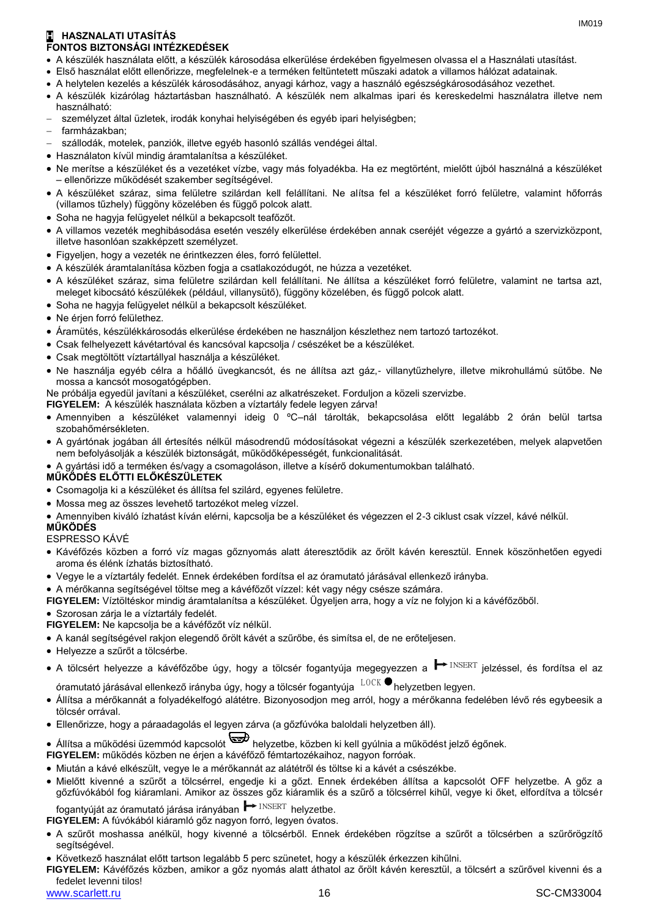### **H HASZNALATI UTASÍTÁS FONTOS BIZTONSÁGI INTÉZKEDÉSEK**

- A készülék használata előtt, a készülék károsodása elkerülése érdekében figyelmesen olvassa el a Használati utasítást.
- Első használat előtt ellenőrizze, megfelelnek-e a terméken feltüntetett műszaki adatok a villamos hálózat adatainak.
- A helytelen kezelés a készülék károsodásához, anyagi kárhoz, vagy a használó egészségkárosodásához vezethet.
- A készülék kizárólag háztartásban használható. A készülék nem alkalmas ipari és kereskedelmi használatra illetve nem használható:
- személyzet által üzletek, irodák konyhai helyiségében és egyéb ipari helyiségben;
- farmházakban;
- szállodák, motelek, panziók, illetve egyéb hasonló szállás vendégei által.
- Használaton kívül mindig áramtalanítsa a készüléket.
- Ne merítse a készüléket és a vezetéket vízbe, vagy más folyadékba. Ha ez megtörtént, mielőtt újból használná a készüléket – ellenőrizze működését szakember segítségével.
- A készüléket száraz, sima felületre szilárdan kell felállítani. Ne alítsa fel a készüléket forró felületre, valamint hőforrás (villamos tűzhely) függöny közelében és függő polcok alatt.
- Soha ne hagyja felügyelet nélkül a bekapcsolt teafőzőt.
- A villamos vezeték meghibásodása esetén veszély elkerülése érdekében annak cseréjét végezze a gyártó a szervizközpont, illetve hasonlóan szakképzett személyzet.
- Figyeljen, hogy a vezeték ne érintkezzen éles, forró felülettel.
- A készülék áramtalanítása közben fogja a csatlakozódugót, ne húzza a vezetéket.
- A készüléket száraz, sima felületre szilárdan kell felállítani. Ne állítsa a készüléket forró felületre, valamint ne tartsa azt, meleget kibocsátó készülékek (például, villanysütő), függöny közelében, és függő polcok alatt.
- Soha ne hagyja felügyelet nélkül a bekapcsolt készüléket.
- Ne érjen forró felülethez.
- Áramütés, készülékkárosodás elkerülése érdekében ne használjon készlethez nem tartozó tartozékot.
- Csak felhelyezett kávétartóval és kancsóval kapcsolja / csészéket be a készüléket.
- Csak megtöltött víztartállyal használja a készüléket.
- Ne használja egyéb célra a hőálló üvegkancsót, és ne állítsa azt gáz,- villanytűzhelyre, illetve mikrohullámú sütőbe. Ne mossa a kancsót mosogatógépben.

Ne próbálja egyedül javítani a készüléket, cserélni az alkatrészeket. Forduljon a közeli szervizbe.

- **FIGYELEM:** A készülék használata közben a víztartály fedele legyen zárva!
- Amennyiben a készüléket valamennyi ideig 0 ºC–nál tárolták, bekapcsolása előtt legalább 2 órán belül tartsa szobahőmérsékleten.
- A gyártónak jogában áll értesítés nélkül másodrendű módosításokat végezni a készülék szerkezetében, melyek alapvetően nem befolyásolják a készülék biztonságát, működőképességét, funkcionalitását.
- A gyártási idő a terméken és/vagy a csomagoláson, illetve a kísérő dokumentumokban található.

### **MŰKÖDÉS ELŐTTI ELŐKÉSZÜLETEK**

- Csomagolja ki a készüléket és állítsa fel szilárd, egyenes felületre.
- Mossa meg az összes levehető tartozékot meleg vízzel.
- Amennyiben kiváló ízhatást kíván elérni, kapcsolja be a készüléket és végezzen el 2-3 ciklust csak vízzel, kávé nélkül.

### **MŰKÖDÉS**

### ESPRESSO KÁVÉ

- Kávéfőzés közben a forró víz magas gőznyomás alatt áteresztődik az őrölt kávén keresztül. Ennek köszönhetően egyedi aroma és élénk ízhatás biztosítható.
- Vegye le a víztartály fedelét. Ennek érdekében fordítsa el az óramutató járásával ellenkező irányba.
- A mérőkanna segítségével töltse meg a kávéfőzőt vízzel: két vagy négy csésze számára.

**FIGYELEM:** Víztöltéskor mindig áramtalanítsa a készüléket. Ügyeljen arra, hogy a víz ne folyjon ki a kávéfőzőből.

Szorosan zárja le a víztartály fedelét.

- **FIGYELEM:** Ne kapcsolja be a kávéfőzőt víz nélkül.
- A kanál segítségével rakjon elegendő őrölt kávét a szűrőbe, és simítsa el, de ne erőteljesen.
- Helyezze a szűrőt a tölcsérbe.
- A tölcsért helyezze a kávéfőzőbe úgy, hogy a tölcsér fogantyúja megegyezzen a <sup>┣━</sup> <sup>INSERT</sup> jelzéssel, és fordítsa el az<br>óramutató iárásával ellenkező iránγba úgγ, hogy a tölcsér fogantγúia <sup>L0CK ●</sup>helyzetben legyen.
- óramutató járásával ellenkező irányba úgy, hogy a tölcsér fogantyúja helyzetben legyen.
- Állítsa a mérőkannát a folyadékelfogó alátétre. Bizonyosodjon meg arról, hogy a mérőkanna fedelében lévő rés egybeesik a tölcsér orrával.
- Ellenőrizze, hogy a páraadagolás el legyen zárva (a gőzfúvóka baloldali helyzetben áll).
- Állítsa a működési üzemmód kapcsolót helyzetbe, közben ki kell gyúlnia a működést jelző égőnek.

### **FIGYELEM:** működés közben ne érjen a kávéfőző fémtartozékaihoz, nagyon forróak.

- Miután a kávé elkészült, vegye le a mérőkannát az alátétről és töltse ki a kávét a csészékbe.
- Mielőtt kivenné a szűrőt a tölcsérrel, engedje ki a gőzt. Ennek érdekében állítsa a kapcsolót OFF helyzetbe. A gőz a gőzfúvókából fog kiáramlani. Amikor az összes gőz kiáramlik és a szűrő a tölcsérrel kihűl, vegye ki őket, elfordítva a tölcsér INSERT helyzethe

fogantyúját az óramutató járása irányában ■ INSERT helyzetbe. **FIGYELEM:** A fúvókából kiáramló gőz nagyon forró, legyen óvatos.

- A szűrőt moshassa anélkül, hogy kivenné a tölcsérből. Ennek érdekében rögzítse a szűrőt a tölcsérben a szűrőrögzítő segítségével.
- Következő használat előtt tartson legalább 5 perc szünetet, hogy a készülék érkezzen kihűlni.
- **FIGYELEM:** Kávéfőzés közben, amikor a gőz nyomás alatt áthatol az őrölt kávén keresztül, a tölcsért a szűrővel kivenni és a fedelet levenni tilos!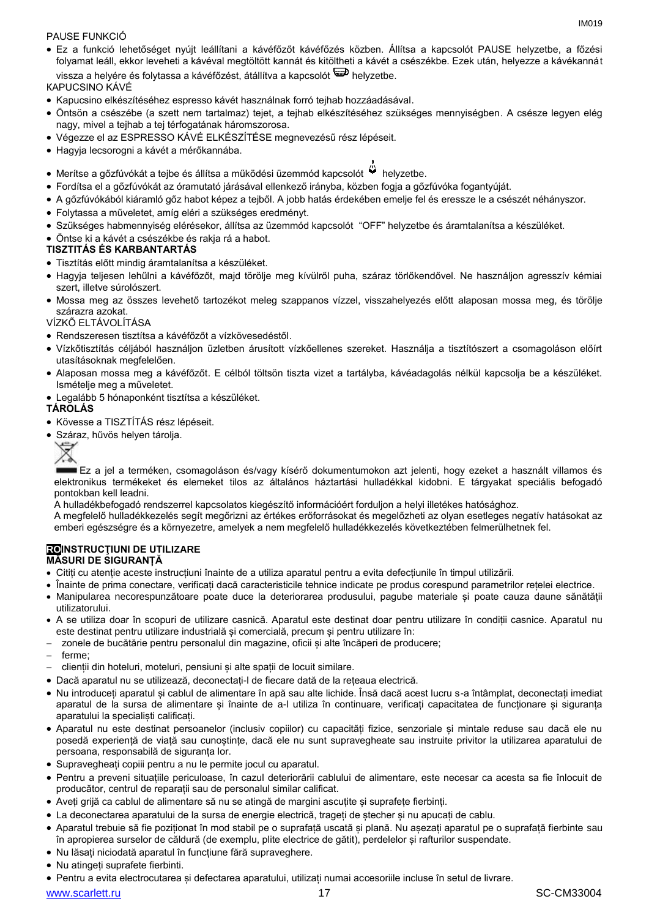### PAUSE FUNKCIÓ

 Ez a funkció lehetőséget nyújt leállítani a kávéfőzőt kávéfőzés közben. Állítsa a kapcsolót PAUSE helyzetbe, a főzési folyamat leáll, ekkor leveheti a kávéval megtöltött kannát és kitöltheti a kávét a csészékbe. Ezek után, helyezze a kávékannát vissza a helyére és folytassa a kávéfőzést, átállítva a kapcsolót  $\overline{\mathbb{D}}$  helyzetbe.

КAPUCSINO KÁVÉ

- Kapucsino elkészítéséhez espresso kávét használnak forró tejhab hozzáadásával.
- Öntsön a csészébe (a szett nem tartalmaz) tejet, a tejhab elkészítéséhez szükséges mennyiségben. A csésze legyen elég nagy, mivel a tejhab a tej térfogatának háromszorosa.
- Végezze el az ESPRESSO KÁVÉ ELKÉSZÍTÉSE megnevezésű rész lépéseit.
- Hagyja lecsorogni a kávét a mérőkannába.
- Merítse a gőzfúvókát a tejbe és állítsa a működési üzemmód kapcsolót » helyzetbe.
- Fordítsa el a gőzfúvókát az óramutató járásával ellenkező irányba, közben fogja a gőzfúvóka fogantyúját.
- A gőzfúvókából kiáramló gőz habot képez a tejből. A jobb hatás érdekében emelje fel és eressze le a csészét néhányszor.
- Folytassa a műveletet, amíg eléri a szükséges eredményt.
- Szükséges habmennyiség elérésekor, állítsa az üzemmód kapcsolót "OFF" helyzetbe és áramtalanítsa a készüléket.
- Öntse ki a kávét a csészékbe és rakja rá a habot.

### **TISZTITÁS ÉS KARBANTARTÁS**

- Tisztítás előtt mindig áramtalanítsa a készüléket.
- Hagyja teljesen lehűlni a kávéfőzőt, majd törölje meg kívülről puha, száraz törlőkendővel. Ne használjon agresszív kémiai szert, illetve súrolószert.
- Mossa meg az összes levehető tartozékot meleg szappanos vízzel, visszahelyezés előtt alaposan mossa meg, és törölje szárazra azokat.

### VÍZKŐ ELTÁVOLÍTÁSA

- Rendszeresen tisztítsa a kávéfőzőt a vízkövesedéstől.
- Vízkőtisztítás céljából használjon üzletben árusított vízkőellenes szereket. Használja a tisztítószert a csomagoláson előírt utasításoknak megfelelően.
- Alaposan mossa meg a kávéfőzőt. E célból töltsön tiszta vizet a tartályba, kávéadagolás nélkül kapcsolja be a készüléket. Ismételje meg a műveletet.
- Legalább 5 hónaponként tisztítsa a készüléket.

### **TÁROLÁS**

- Kövesse a TISZTÍTÁS rész lépéseit.
- Száraz, hűvös helyen tárolja.



Ez a jel a terméken, csomagoláson és/vagy kísérő dokumentumokon azt jelenti, hogy ezeket a használt villamos és elektronikus termékeket és elemeket tilos az általános háztartási hulladékkal kidobni. E tárgyakat speciális befogadó pontokban kell leadni.

A hulladékbefogadó rendszerrel kapcsolatos kiegészítő információért forduljon a helyi illetékes hatósághoz.

A megfelelő hulladékkezelés segít megőrizni az értékes erőforrásokat és megelőzheti az olyan esetleges negatív hatásokat az emberi egészségre és a környezetre, amelyek a nem megfelelő hulladékkezelés következtében felmerülhetnek fel.

### **ROINSTRUCŢIUNI DE UTILIZARE MĂSURI DE SIGURANȚĂ**

- Citiți cu atenție aceste instrucțiuni înainte de a utiliza aparatul pentru a evita defecțiunile în timpul utilizării.
- Înainte de prima conectare, verificați dacă caracteristicile tehnice indicate pe produs corespund parametrilor rețelei electrice.
- Manipularea necorespunzătoare poate duce la deteriorarea produsului, pagube materiale și poate cauza daune sănătății utilizatorului.
- A se utiliza doar în scopuri de utilizare casnică. Aparatul este destinat doar pentru utilizare în condiții casnice. Aparatul nu este destinat pentru utilizare industrială și comercială, precum și pentru utilizare în:
- zonele de bucătărie pentru personalul din magazine, oficii și alte încăperi de producere;
- ferme;
- clienții din hoteluri, moteluri, pensiuni și alte spații de locuit similare.
- Dacă aparatul nu se utilizează, deconectați-l de fiecare dată de la rețeaua electrică.
- Nu introduceți aparatul și cablul de alimentare în apă sau alte lichide. Însă dacă acest lucru s-a întâmplat, deconectați imediat aparatul de la sursa de alimentare și înainte de a-l utiliza în continuare, verificați capacitatea de funcționare și siguranța aparatului la specialisti calificati.
- Aparatul nu este destinat persoanelor (inclusiv copiilor) cu capacități fizice, senzoriale și mintale reduse sau dacă ele nu posedă experiență de viață sau cunoștințe, dacă ele nu sunt supravegheate sau instruite privitor la utilizarea aparatului de persoana, responsabilă de siguranța lor.
- Supravegheați copiii pentru a nu le permite jocul cu aparatul.
- Pentru a preveni situațiile periculoase, în cazul deteriorării cablului de alimentare, este necesar ca acesta sa fie înlocuit de producător, centrul de reparații sau de personalul similar calificat.
- Aveți grijă ca cablul de alimentare să nu se atingă de margini ascuțite și suprafețe fierbinți.
- La deconectarea aparatului de la sursa de energie electrică, trageți de ștecher și nu apucați de cablu.
- Aparatul trebuie să fie poziționat în mod stabil pe o suprafață uscată și plană. Nu așezați aparatul pe o suprafață fierbinte sau în apropierea surselor de căldură (de exemplu, plite electrice de gătit), perdelelor și rafturilor suspendate.
- Nu lăsați niciodată aparatul în funcțiune fără supraveghere.
- Nu atingeți suprafete fierbinti.
- Pentru a evita electrocutarea și defectarea aparatului, utilizați numai accesoriile incluse în setul de livrare.

www.scarlett.ru 17 November 2012 17 November 2013 17 SC-CM33004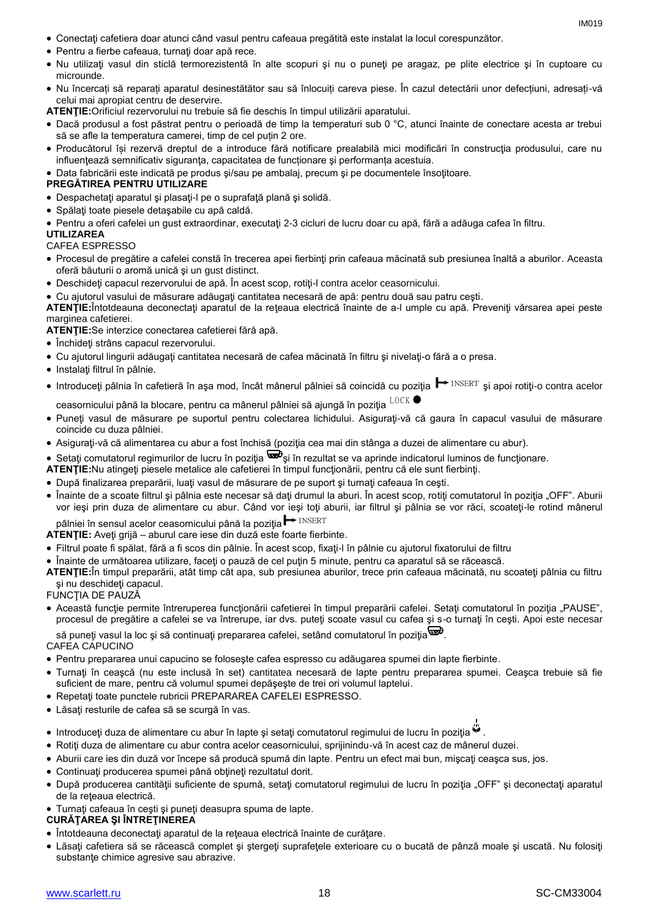- Conectaţi cafetiera doar atunci când vasul pentru cafeaua pregătită este instalat la locul corespunzător.
- Pentru a fierbe cafeaua, turnaţi doar apă rece.
- Nu utilizaţi vasul din sticlă termorezistentă în alte scopuri şi nu o puneţi pe aragaz, pe plite electrice şi în cuptoare cu microunde.
- Nu încercați să reparați aparatul desinestătător sau să înlocuiți careva piese. În cazul detectării unor defecțiuni, adresați-vă celui mai apropiat centru de deservire.
- **ATENŢIE:**Orificiul rezervorului nu trebuie să fie deschis în timpul utilizării aparatului.
- Dacă produsul a fost păstrat pentru o perioadă de timp la temperaturi sub 0 °C, atunci înainte de conectare acesta ar trebui să se afle la temperatura camerei, timp de cel puțin 2 ore.
- Producătorul își rezervă dreptul de a introduce fără notificare prealabilă mici modificări în construcţia produsului, care nu influentează semnificativ siguranța, capacitatea de funcționare și performanța acestuia.

Data fabricării este indicată pe produs şi/sau pe ambalaj, precum şi pe documentele însoţitoare.

### **PREGĂTIREA PENTRU UTILIZARE**

- Despachetaţi aparatul şi plasaţi-l pe o suprafaţă plană şi solidă.
- Spălaţi toate piesele detaşabile cu apă caldă.
- Pentru a oferi cafelei un gust extraordinar, executaţi 2-3 cicluri de lucru doar cu apă, fără a adăuga cafea în filtru.

### **UTILIZAREA**

### CAFEA ESPRESSO

- Procesul de pregătire a cafelei constă în trecerea apei fierbinţi prin cafeaua măcinată sub presiunea înaltă a aburilor. Aceasta oferă băuturii o aromă unică şi un gust distinct.
- Deschideţi capacul rezervorului de apă. În acest scop, rotiţi-l contra acelor ceasornicului.
- Cu ajutorul vasului de măsurare adăugați cantitatea necesară de apă: pentru două sau patru cesti.

**ATENŢIE:**Întotdeauna deconectaţi aparatul de la reţeaua electrică înainte de a-l umple cu apă. Preveniţi vărsarea apei peste marginea cafetierei.

**ATENŢIE:**Se interzice conectarea cafetierei fără apă.

- Închideți strâns capacul rezervorului.
- Cu ajutorul lingurii adăugaţi cantitatea necesară de cafea măcinată în filtru şi nivelaţi-o fără a o presa.
- Instalați filtrul în pâlnie.
- Introduceți pâlnia în cafetieră în aşa mod, încât mânerul pâlniei să coincidă cu poziția ━ INSERT și apoi rotiți-o contra acelor<br>ceasornicului până la blocare, pentru ca mânerul pâlniei să aiungă în pozitia <sup>LOCK</sup> ●

ceasornicului până la blocare, pentru ca mânerul pâlniei să ajungă în poziția  $^{ \text{LOCK}}$ 

- Puneţi vasul de măsurare pe suportul pentru colectarea lichidului. Asiguraţi-vă că gaura în capacul vasului de măsurare coincide cu duza pâlniei.
- Asiguraţi-vă că alimentarea cu abur a fost închisă (poziţia cea mai din stânga a duzei de alimentare cu abur).
- Setați comutatorul regimurilor de lucru în poziția suberia rezultat se va aprinde indicatorul luminos de funcționare.
- **ATENŢIE:**Nu atingeţi piesele metalice ale cafetierei în timpul funcţionării, pentru că ele sunt fierbinţi.
- După finalizarea preparării, luaţi vasul de măsurare de pe suport şi turnaţi cafeaua în ceşti.
- Înainte de a scoate filtrul și pâlnia este necesar să dați drumul la aburi. În acest scop, rotiți comutatorul în poziția "OFF". Aburii vor ieşi prin duza de alimentare cu abur. Când vor ieşi toţi aburii, iar filtrul şi pâlnia se vor răci, scoateţi-le rotind mânerul INSERT

pâlniei în sensul acelor ceasornicului până la poziția  $\mapsto$  INSERT

- **ATENŢIE:** Aveţi grijă aburul care iese din duză este foarte fierbinte.
- Filtrul poate fi spălat, fără a fi scos din pâlnie. În acest scop, fixaţi-l în pâlnie cu ajutorul fixatorului de filtru
- Înainte de următoarea utilizare, faceţi o pauză de cel puţin 5 minute, pentru ca aparatul să se răcească.
- **ATENŢIE:**În timpul preparării, atât timp cât apa, sub presiunea aburilor, trece prin cafeaua măcinată, nu scoateţi pâlnia cu filtru şi nu deschideţi capacul.
- FUNCŢIA DE PAUZĂ
- Această funcție permite întreruperea funcționării cafetierei în timpul preparării cafelei. Setați comutatorul în poziția "PAUSE", procesul de pregătire a cafelei se va întrerupe, iar dvs. puteţi scoate vasul cu cafea şi s-o turnaţi în ceşti. Apoi este necesar

să puneți vasul la loc și să continuați prepararea cafelei, setând comutatorul în poziția  $\overline{\mathbf{w}}$ .

CAFEA CAPUCINO

- Pentru prepararea unui capucino se foloseşte cafea espresso cu adăugarea spumei din lapte fierbinte.
- Turnaţi în ceaşcă (nu este inclusă în set) cantitatea necesară de lapte pentru prepararea spumei. Ceaşca trebuie să fie suficient de mare, pentru că volumul spumei depăşeşte de trei ori volumul laptelui.
- Repetaţi toate punctele rubricii PREPARAREA CAFELEI ESPRESSO.
- Lăsaţi resturile de cafea să se scurgă în vas.
- Introduceți duza de alimentare cu abur în lapte și setați comutatorul regimului de lucru în poziția .
- Rotiţi duza de alimentare cu abur contra acelor ceasornicului, sprijinindu-vă în acest caz de mânerul duzei.
- Aburii care ies din duză vor începe să producă spumă din lapte. Pentru un efect mai bun, miscati ceasca sus, jos.
- Continuați producerea spumei până obțineți rezultatul dorit.
- După producerea cantității suficiente de spumă, setați comutatorul regimului de lucru în poziția "OFF" și deconectați aparatul de la rețeaua electrică.
- Turnaţi cafeaua în ceşti şi puneţi deasupra spuma de lapte.

**CURĂŢAREA ŞI ÎNTREŢINEREA**

- Întotdeauna deconectaţi aparatul de la reţeaua electrică înainte de curăţare.
- Lăsaţi cafetiera să se răcească complet şi ştergeţi suprafeţele exterioare cu o bucată de pânză moale şi uscată. Nu folosiţi substanțe chimice agresive sau abrazive.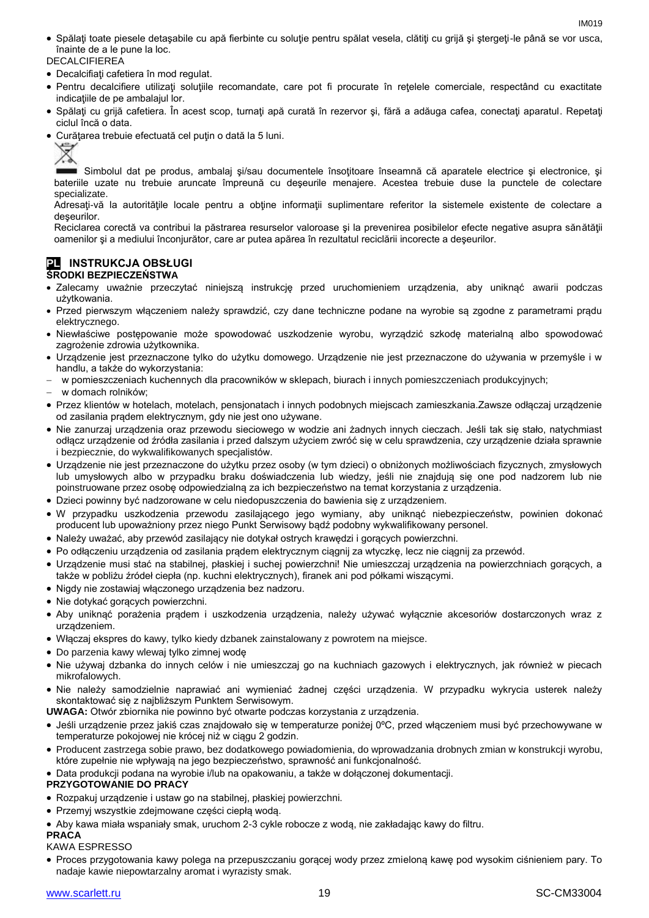Spălaţi toate piesele detaşabile cu apă fierbinte cu soluţie pentru spălat vesela, clătiţi cu grijă şi ştergeţi-le până se vor usca, înainte de a le pune la loc.

DECALCIFIEREA

- Decalcifiaţi cafetiera în mod regulat.
- Pentru decalcifiere utilizaţi soluţiile recomandate, care pot fi procurate în reţelele comerciale, respectând cu exactitate indicaţiile de pe ambalajul lor.
- Spălaţi cu grijă cafetiera. În acest scop, turnaţi apă curată în rezervor şi, fără a adăuga cafea, conectaţi aparatul. Repetaţi ciclul încă o data.
- Curătarea trebuie efectuată cel puțin o dată la 5 luni.



Simbolul dat pe produs, ambalaj si/sau documentele însotitoare înseamnă că aparatele electrice și electronice, și bateriile uzate nu trebuie aruncate împreună cu deşeurile menajere. Acestea trebuie duse la punctele de colectare specializate.

Adresați-vă la autoritățile locale pentru a obține informații suplimentare referitor la sistemele existente de colectare a deşeurilor.

Reciclarea corectă va contribui la păstrarea resurselor valoroase și la prevenirea posibilelor efecte negative asupra sănătății oamenilor şi a mediului înconjurător, care ar putea apărea în rezultatul reciclării incorecte a deşeurilor.

### **PL INSTRUKCJA OBSŁUGI ŚRODKI BEZPIECZEŃSTWA**

- Zalecamy uważnie przeczytać niniejszą instrukcję przed uruchomieniem urządzenia, aby uniknąć awarii podczas użytkowania.
- Przed pierwszym włączeniem należy sprawdzić, czy dane techniczne podane na wyrobie są zgodne z parametrami prądu elektrycznego.
- Niewłaściwe postępowanie może spowodować uszkodzenie wyrobu, wyrządzić szkodę materialną albo spowodować zagrożenie zdrowia użytkownika.
- Urządzenie jest przeznaczone tylko do użytku domowego. Urządzenie nie jest przeznaczone do używania w przemyśle i w handlu, a także do wykorzystania:
- w pomieszczeniach kuchennych dla pracowników w sklepach, biurach i innych pomieszczeniach produkcyjnych;
- w domach rolników;
- Przez klientów w hotelach, motelach, pensjonatach i innych podobnych miejscach zamieszkania.Zawsze odłączaj urządzenie od zasilania prądem elektrycznym, gdy nie jest ono używane.
- Nie zanurzaj urządzenia oraz przewodu sieciowego w wodzie ani żadnych innych cieczach. Jeśli tak się stało, natychmiast odłącz urządzenie od źródła zasilania i przed dalszym użyciem zwróć się w celu sprawdzenia, czy urządzenie działa sprawnie i bezpiecznie, do wykwalifikowanych specjalistów.
- Urządzenie nie jest przeznaczone do użytku przez osoby (w tym dzieci) o obniżonych możliwościach fizycznych, zmysłowych lub umysłowych albo w przypadku braku doświadczenia lub wiedzy, jeśli nie znajdują się one pod nadzorem lub nie poinstruowane przez osobę odpowiedzialną za ich bezpieczeństwo na temat korzystania z urządzenia.
- Dzieci powinny być nadzorowane w celu niedopuszczenia do bawienia się z urządzeniem.
- W przypadku uszkodzenia przewodu zasilającego jego wymiany, aby uniknąć niebezpieczeństw, powinien dokonać producent lub upoważniony przez niego Punkt Serwisowy bądź podobny wykwalifikowany personel.
- Należy uważać, aby przewód zasilający nie dotykał ostrych krawędzi i gorących powierzchni.
- Po odłączeniu urządzenia od zasilania prądem elektrycznym ciągnij za wtyczkę, lecz nie ciągnij za przewód.
- Urządzenie musi stać na stabilnej, płaskiej i suchej powierzchni! Nie umieszczaj urządzenia na powierzchniach gorących, a także w pobliżu źródeł ciepła (np. kuchni elektrycznych), firanek ani pod półkami wiszącymi.
- Nigdy nie zostawiaj włączonego urządzenia bez nadzoru.
- Nie dotykać gorących powierzchni.
- Aby uniknąć porażenia prądem i uszkodzenia urządzenia, należy używać wyłącznie akcesoriów dostarczonych wraz z urządzeniem.
- Włączaj ekspres do kawy, tylko kiedy dzbanek zainstalowany z powrotem na miejsce.
- Do parzenia kawy wlewaj tylko zimnej wodę
- Nie używaj dzbanka do innych celów i nie umieszczaj go na kuchniach gazowych i elektrycznych, jak również w piecach mikrofalowych.
- Nie należy samodzielnie naprawiać ani wymieniać żadnej części urządzenia. W przypadku wykrycia usterek należy skontaktować się z najbliższym Punktem Serwisowym.
- **UWAGA:** Otwór zbiornika nie powinno być otwarte podczas korzystania z urządzenia.
- Jeśli urządzenie przez jakiś czas znajdowało się w temperaturze poniżej 0ºC, przed włączeniem musi być przechowywane w temperaturze pokojowej nie krócej niż w ciągu 2 godzin.
- Producent zastrzega sobie prawo, bez dodatkowego powiadomienia, do wprowadzania drobnych zmian w konstrukcji wyrobu, które zupełnie nie wpływają na jego bezpieczeństwo, sprawność ani funkcjonalność.
- Data produkcji podana na wyrobie i/lub na opakowaniu, a także w dołączonej dokumentacji.

### **PRZYGOTOWANIE DO PRACY**

- Rozpakuj urządzenie i ustaw go na stabilnej, płaskiej powierzchni.
- Przemyj wszystkie zdejmowane części ciepłą wodą.
- Aby kawa miała wspaniały smak, uruchom 2-3 cykle robocze z wodą, nie zakładając kawy do filtru.

### **PRACA**

KAWA ESPRESSO

 Proces przygotowania kawy polega na przepuszczaniu gorącej wody przez zmieloną kawę pod wysokim ciśnieniem pary. To nadaje kawie niepowtarzalny aromat i wyrazisty smak.